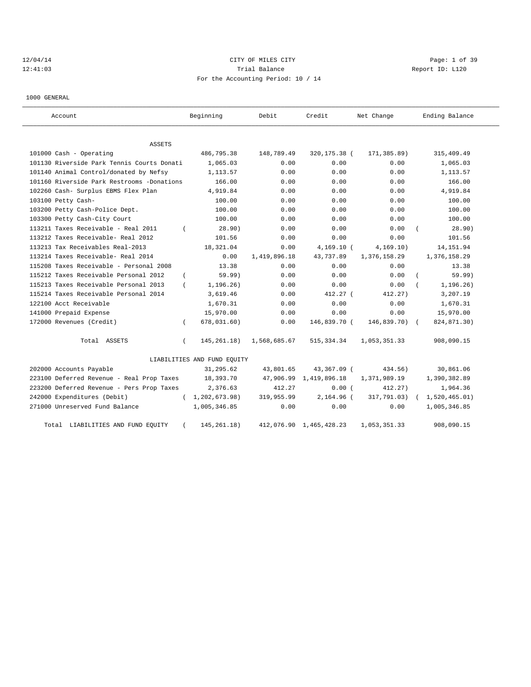# 12/04/14 CITY OF MILES CITY Page: 1 of 39 12:41:03 Trial Balance Trial Balance Report ID: L120 For the Accounting Period: 10 / 14

1000 GENERAL

| Account                                    |          | Beginning                   | Debit        | Credit                  | Net Change     | Ending Balance |
|--------------------------------------------|----------|-----------------------------|--------------|-------------------------|----------------|----------------|
| <b>ASSETS</b>                              |          |                             |              |                         |                |                |
| 101000 Cash - Operating                    |          | 486,795.38                  | 148,789.49   | 320,175.38 (            | 171,385.89)    | 315,409.49     |
| 101130 Riverside Park Tennis Courts Donati |          | 1,065.03                    | 0.00         | 0.00                    | 0.00           | 1,065.03       |
| 101140 Animal Control/donated by Nefsy     |          | 1,113.57                    | 0.00         | 0.00                    | 0.00           | 1,113.57       |
| 101160 Riverside Park Restrooms -Donations |          | 166.00                      | 0.00         | 0.00                    | 0.00           | 166.00         |
| 102260 Cash- Surplus EBMS Flex Plan        |          | 4,919.84                    | 0.00         | 0.00                    | 0.00           | 4,919.84       |
| 103100 Petty Cash-                         |          | 100.00                      | 0.00         | 0.00                    | 0.00           | 100.00         |
| 103200 Petty Cash-Police Dept.             |          | 100.00                      | 0.00         | 0.00                    | 0.00           | 100.00         |
| 103300 Petty Cash-City Court               |          | 100.00                      | 0.00         | 0.00                    | 0.00           | 100.00         |
| 113211 Taxes Receivable - Real 2011        |          | 28.90)                      | 0.00         | 0.00                    | 0.00           | 28.90)         |
| 113212 Taxes Receivable- Real 2012         |          | 101.56                      | 0.00         | 0.00                    | 0.00           | 101.56         |
| 113213 Tax Receivables Real-2013           |          | 18,321.04                   | 0.00         | $4,169.10$ (            | 4, 169.10)     | 14, 151.94     |
| 113214 Taxes Receivable- Real 2014         |          | 0.00                        | 1,419,896.18 | 43,737.89               | 1,376,158.29   | 1,376,158.29   |
| 115208 Taxes Receivable - Personal 2008    |          | 13.38                       | 0.00         | 0.00                    | 0.00           | 13.38          |
| 115212 Taxes Receivable Personal 2012      |          | 59.99)                      | 0.00         | 0.00                    | 0.00           | 59.99)         |
| 115213 Taxes Receivable Personal 2013      |          | 1, 196.26)                  | 0.00         | 0.00                    | 0.00           | 1, 196.26)     |
| 115214 Taxes Receivable Personal 2014      |          | 3,619.46                    | 0.00         | 412.27 (                | 412.27)        | 3,207.19       |
| 122100 Acct Receivable                     |          | 1,670.31                    | 0.00         | 0.00                    | 0.00           | 1,670.31       |
| 141000 Prepaid Expense                     |          | 15,970.00                   | 0.00         | 0.00                    | 0.00           | 15,970.00      |
| 172000 Revenues (Credit)                   | $\left($ | 678,031.60)                 | 0.00         | 146,839.70 (            | $146,839.70$ ( | 824,871.30)    |
| Total ASSETS                               | $\left($ | 145, 261. 18)               | 1,568,685.67 | 515, 334.34             | 1,053,351.33   | 908,090.15     |
|                                            |          | LIABILITIES AND FUND EQUITY |              |                         |                |                |
| 202000 Accounts Payable                    |          | 31,295.62                   | 43,801.65    | 43,367.09 (             | 434.56)        | 30,861.06      |
| 223100 Deferred Revenue - Real Prop Taxes  |          | 18,393.70                   | 47,906.99    | 1,419,896.18            | 1,371,989.19   | 1,390,382.89   |
| 223200 Deferred Revenue - Pers Prop Taxes  |          | 2,376.63                    | 412.27       | 0.00(                   | 412.27)        | 1,964.36       |
| 242000 Expenditures (Debit)                | $\left($ | 1,202,673.98)               | 319,955.99   | 2,164.96 (              | 317,791.03)    | 1,520,465.01)  |
| 271000 Unreserved Fund Balance             |          | 1,005,346.85                | 0.00         | 0.00                    | 0.00           | 1,005,346.85   |
| Total LIABILITIES AND FUND EQUITY          | $\left($ | 145, 261. 18)               |              | 412,076.90 1,465,428.23 | 1,053,351.33   | 908,090.15     |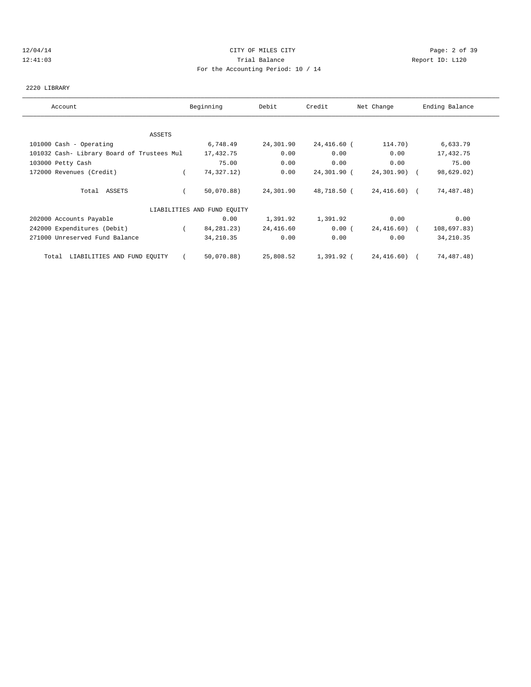## 12/04/14 CITY OF MILES CITY Page: 2 of 39 12:41:03 Trial Balance Report ID: L120 For the Accounting Period: 10 / 14

# 2220 LIBRARY

| Account                                    | Beginning                   | Debit     | Credit      | Net Change   | Ending Balance |
|--------------------------------------------|-----------------------------|-----------|-------------|--------------|----------------|
|                                            |                             |           |             |              |                |
| ASSETS                                     |                             |           |             |              |                |
| 101000 Cash - Operating                    | 6,748.49                    | 24,301.90 | 24,416.60 ( | 114.70)      | 6,633.79       |
| 101032 Cash- Library Board of Trustees Mul | 17,432.75                   | 0.00      | 0.00        | 0.00         | 17,432.75      |
| 103000 Petty Cash                          | 75.00                       | 0.00      | 0.00        | 0.00         | 75.00          |
| 172000 Revenues (Credit)                   | 74,327.12)                  | 0.00      | 24,301.90 ( | 24,301.90) ( | 98,629.02)     |
| Total ASSETS                               | 50,070.88)                  | 24,301.90 | 48,718.50 ( | 24,416.60) ( | 74,487.48)     |
|                                            | LIABILITIES AND FUND EQUITY |           |             |              |                |
| 202000 Accounts Payable                    | 0.00                        | 1,391.92  | 1,391.92    | 0.00         | 0.00           |
| 242000 Expenditures (Debit)                | 84, 281, 23)                | 24,416.60 | 0.00(       | 24,416.60) ( | 108,697.83)    |
| 271000 Unreserved Fund Balance             | 34, 210.35                  | 0.00      | 0.00        | 0.00         | 34, 210.35     |
| LIABILITIES AND FUND EQUITY<br>Total       | 50,070.88)                  | 25,808.52 | 1,391.92 (  | 24,416.60) ( | 74,487.48)     |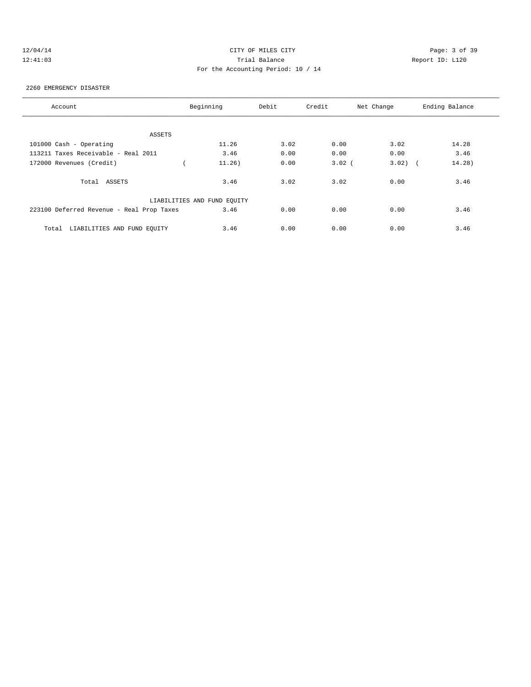# 12/04/14 CITY OF MILES CITY Page: 3 of 39 12:41:03 Trial Balance Report ID: L120 For the Accounting Period: 10 / 14

#### 2260 EMERGENCY DISASTER

| Account                                   | Beginning                   | Debit  |      | Credit   | Net Change | Ending Balance |
|-------------------------------------------|-----------------------------|--------|------|----------|------------|----------------|
|                                           |                             |        |      |          |            |                |
| ASSETS                                    |                             |        |      |          |            |                |
| 101000 Cash - Operating                   |                             | 11.26  | 3.02 | 0.00     | 3.02       | 14.28          |
| 113211 Taxes Receivable - Real 2011       |                             | 3.46   | 0.00 | 0.00     | 0.00       | 3.46           |
| 172000 Revenues (Credit)                  |                             | 11.26) | 0.00 | $3.02$ ( | 3.02)      | 14.28)         |
| Total ASSETS                              |                             | 3.46   | 3.02 | 3.02     | 0.00       | 3.46           |
|                                           | LIABILITIES AND FUND EQUITY |        |      |          |            |                |
| 223100 Deferred Revenue - Real Prop Taxes |                             | 3.46   | 0.00 | 0.00     | 0.00       | 3.46           |
| LIABILITIES AND FUND EQUITY<br>Total      |                             | 3.46   | 0.00 | 0.00     | 0.00       | 3.46           |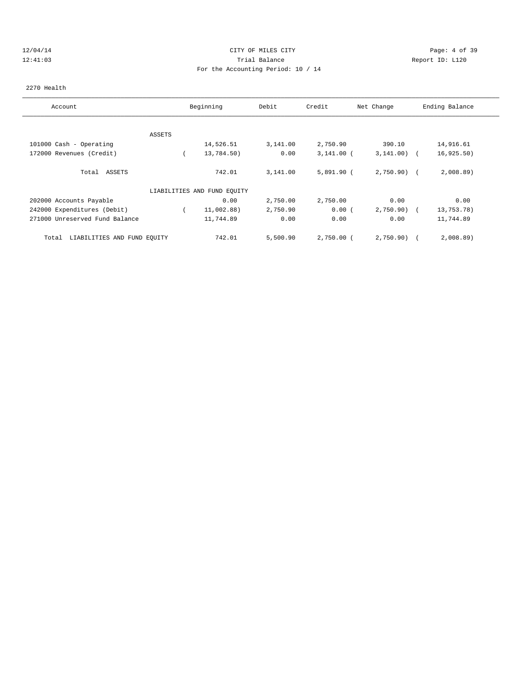## 12/04/14 CITY OF MILES CITY Page: 4 of 39 12:41:03 Trial Balance Report ID: L120 For the Accounting Period: 10 / 14

### 2270 Health

| Account                              |        | Beginning                   | Debit    | Credit       | Net Change    | Ending Balance |
|--------------------------------------|--------|-----------------------------|----------|--------------|---------------|----------------|
|                                      |        |                             |          |              |               |                |
|                                      | ASSETS |                             |          |              |               |                |
| 101000 Cash - Operating              |        | 14,526.51                   | 3,141.00 | 2,750.90     | 390.10        | 14,916.61      |
| 172000 Revenues (Credit)             |        | 13,784.50)                  | 0.00     | $3,141.00$ ( | $3,141.00$ (  | 16, 925.50)    |
| ASSETS<br>Total                      |        | 742.01                      | 3,141.00 | $5,891.90$ ( | $2,750.90)$ ( | 2,008.89       |
|                                      |        | LIABILITIES AND FUND EQUITY |          |              |               |                |
| 202000 Accounts Payable              |        | 0.00                        | 2,750.00 | 2,750.00     | 0.00          | 0.00           |
| 242000 Expenditures (Debit)          |        | 11,002.88)                  | 2,750.90 | 0.00(        | $2,750.90)$ ( | 13,753.78)     |
| 271000 Unreserved Fund Balance       |        | 11,744.89                   | 0.00     | 0.00         | 0.00          | 11,744.89      |
| LIABILITIES AND FUND EQUITY<br>Total |        | 742.01                      | 5,500.90 | 2,750.00 (   | 2,750.90)     | 2,008.89       |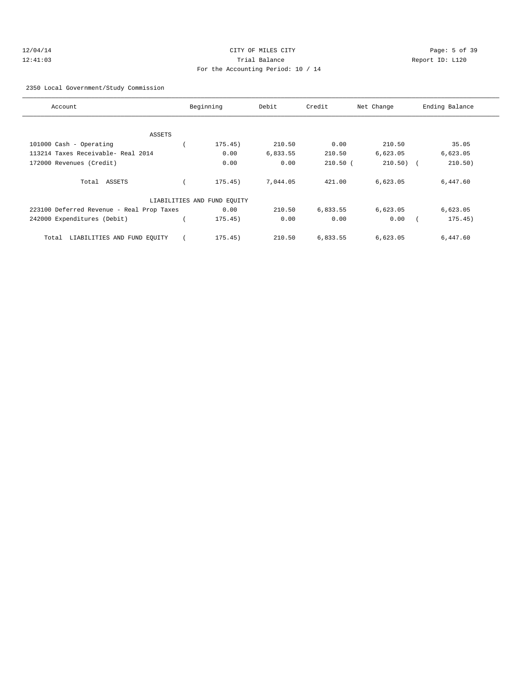## 2350 Local Government/Study Commission

| Account                                   | Beginning                   | Debit    | Credit     | Net Change | Ending Balance        |
|-------------------------------------------|-----------------------------|----------|------------|------------|-----------------------|
|                                           |                             |          |            |            |                       |
| ASSETS                                    |                             |          |            |            |                       |
| 101000 Cash - Operating                   | 175.45)                     | 210.50   | 0.00       | 210.50     | 35.05                 |
| 113214 Taxes Receivable- Real 2014        | 0.00                        | 6,833.55 | 210.50     | 6,623.05   | 6,623.05              |
| 172000 Revenues (Credit)                  | 0.00                        | 0.00     | $210.50$ ( | 210.50)    | 210.50)<br>$\sqrt{2}$ |
| Total ASSETS                              | 175.45)                     | 7,044.05 | 421.00     | 6,623.05   | 6,447.60              |
|                                           | LIABILITIES AND FUND EQUITY |          |            |            |                       |
| 223100 Deferred Revenue - Real Prop Taxes | 0.00                        | 210.50   | 6,833.55   | 6,623.05   | 6,623.05              |
| 242000 Expenditures (Debit)               | 175.45)                     | 0.00     | 0.00       | 0.00       | 175.45)               |
| LIABILITIES AND FUND EOUITY<br>Total      | 175.45)                     | 210.50   | 6,833.55   | 6,623.05   | 6,447.60              |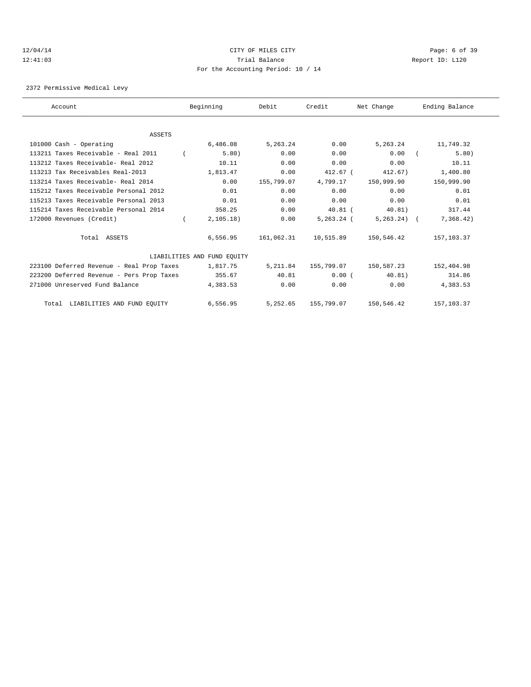## 12/04/14 CITY OF MILES CITY Page: 6 of 39 12:41:03 Trial Balance Report ID: L120 For the Accounting Period: 10 / 14

2372 Permissive Medical Levy

| Account                                   | Beginning                   | Debit      | Credit       | Net Change    | Ending Balance |
|-------------------------------------------|-----------------------------|------------|--------------|---------------|----------------|
|                                           |                             |            |              |               |                |
| <b>ASSETS</b>                             |                             |            |              |               |                |
| 101000 Cash - Operating                   | 6,486.08                    | 5,263.24   | 0.00         | 5,263.24      | 11,749.32      |
| 113211 Taxes Receivable - Real 2011       | 5.80)                       | 0.00       | 0.00         | 0.00          | 5.80)          |
| 113212 Taxes Receivable- Real 2012        | 10.11                       | 0.00       | 0.00         | 0.00          | 10.11          |
| 113213 Tax Receivables Real-2013          | 1,813.47                    | 0.00       | 412.67 (     | 412.67)       | 1,400.80       |
| 113214 Taxes Receivable- Real 2014        | 0.00                        | 155,799.07 | 4,799.17     | 150,999.90    | 150,999.90     |
| 115212 Taxes Receivable Personal 2012     | 0.01                        | 0.00       | 0.00         | 0.00          | 0.01           |
| 115213 Taxes Receivable Personal 2013     | 0.01                        | 0.00       | 0.00         | 0.00          | 0.01           |
| 115214 Taxes Receivable Personal 2014     | 358.25                      | 0.00       | $40.81$ (    | 40.81)        | 317.44         |
| 172000 Revenues (Credit)                  | 2, 105.18)                  | 0.00       | $5.263.24$ ( | $5,263.24)$ ( | 7,368.42)      |
| Total ASSETS                              | 6,556.95                    | 161,062.31 | 10,515.89    | 150,546.42    | 157,103.37     |
|                                           | LIABILITIES AND FUND EOUITY |            |              |               |                |
| 223100 Deferred Revenue - Real Prop Taxes | 1,817.75                    | 5,211.84   | 155,799.07   | 150,587.23    | 152,404.98     |
| 223200 Deferred Revenue - Pers Prop Taxes | 355.67                      | 40.81      | 0.00(        | 40.81)        | 314.86         |
| 271000 Unreserved Fund Balance            | 4,383.53                    | 0.00       | 0.00         | 0.00          | 4,383.53       |
| Total LIABILITIES AND FUND EQUITY         | 6,556.95                    | 5,252.65   | 155,799.07   | 150,546.42    | 157,103.37     |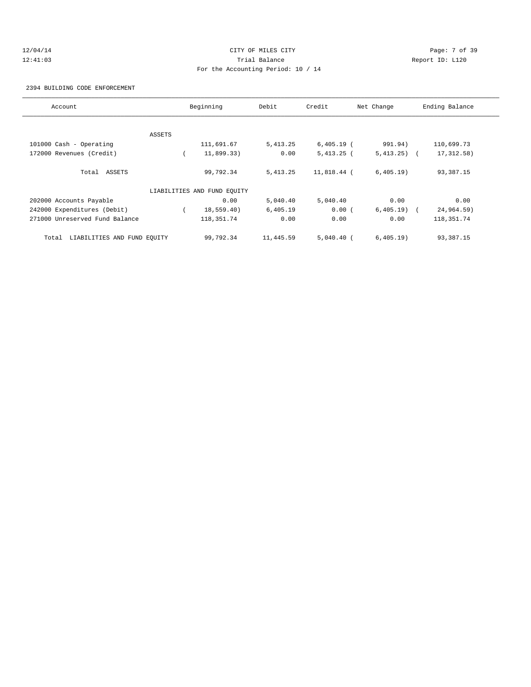# 12/04/14 CITY OF MILES CITY Page: 7 of 39 12:41:03 Trial Balance Report ID: L120 For the Accounting Period: 10 / 14

2394 BUILDING CODE ENFORCEMENT

| Account                              |        | Beginning                   | Debit     | Credit       | Net Change   | Ending Balance |
|--------------------------------------|--------|-----------------------------|-----------|--------------|--------------|----------------|
|                                      |        |                             |           |              |              |                |
|                                      | ASSETS |                             |           |              |              |                |
| 101000 Cash - Operating              |        | 111,691.67                  | 5, 413.25 | $6,405.19$ ( | 991.94)      | 110,699.73     |
| 172000 Revenues (Credit)             |        | 11,899.33)                  | 0.00      | $5,413.25$ ( | $5,413.25$ ( | 17, 312.58)    |
| Total ASSETS                         |        | 99,792.34                   | 5, 413.25 | 11,818.44 (  | 6,405.19)    | 93,387.15      |
|                                      |        | LIABILITIES AND FUND EQUITY |           |              |              |                |
| 202000 Accounts Payable              |        | 0.00                        | 5,040.40  | 5,040.40     | 0.00         | 0.00           |
| 242000 Expenditures (Debit)          |        | 18,559.40)                  | 6,405.19  | 0.00(        | $6,405.19$ ( | 24,964.59)     |
| 271000 Unreserved Fund Balance       |        | 118, 351. 74                | 0.00      | 0.00         | 0.00         | 118, 351. 74   |
| LIABILITIES AND FUND EQUITY<br>Total |        | 99,792.34                   | 11,445.59 | $5.040.40$ ( | 6, 405.19)   | 93,387.15      |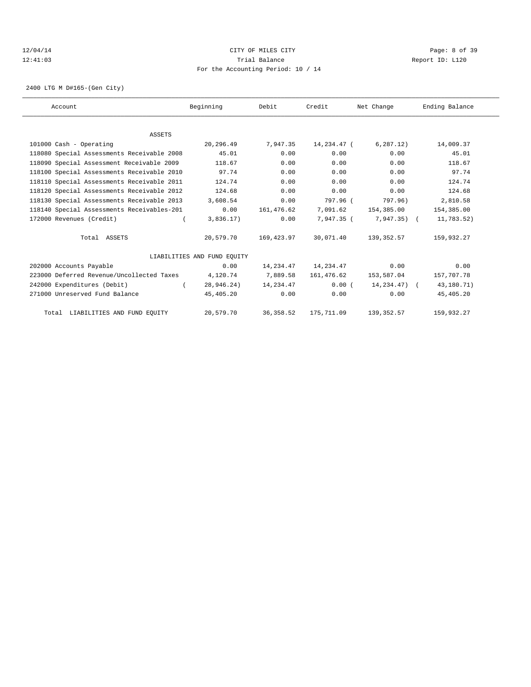## 12/04/14 CITY OF MILES CITY Page: 8 of 39 12:41:03 Trial Balance Report ID: L120 For the Accounting Period: 10 / 14

2400 LTG M D#165-(Gen City)

| Account                                    |               | Beginning                   | Debit      | Credit                  | Net Change        | Ending Balance |  |
|--------------------------------------------|---------------|-----------------------------|------------|-------------------------|-------------------|----------------|--|
|                                            |               |                             |            |                         |                   |                |  |
|                                            | <b>ASSETS</b> |                             |            |                         |                   |                |  |
| 101000 Cash - Operating                    |               | 20,296.49                   | 7,947.35   | 14,234.47 (             | 6, 287, 12)       | 14,009.37      |  |
| 118080 Special Assessments Receivable 2008 |               | 45.01                       | 0.00       | 0.00                    | 0.00              | 45.01          |  |
| 118090 Special Assessment Receivable 2009  |               | 118.67                      | 0.00       | 0.00                    | 0.00              | 118.67         |  |
| 118100 Special Assessments Receivable 2010 |               | 97.74                       | 0.00       | 0.00                    | 0.00              | 97.74          |  |
| 118110 Special Assessments Receivable 2011 |               | 124.74                      | 0.00       | 0.00                    | 0.00              | 124.74         |  |
| 118120 Special Assessments Receivable 2012 |               | 124.68                      | 0.00       | 0.00                    | 0.00              | 124.68         |  |
| 118130 Special Assessments Receivable 2013 |               | 3,608.54                    | 0.00       | 797.96 (                | 797.96)           | 2,810.58       |  |
| 118140 Special Assessments Receivables-201 |               | 0.00                        | 161,476.62 | 7,091.62                | 154,385.00        | 154,385.00     |  |
| 172000 Revenues (Credit)                   |               | 3,836.17)                   | 0.00       | 7,947.35 (              | $7,947.35$ (      | 11,783.52)     |  |
| Total ASSETS                               |               | 20,579.70                   | 169,423.97 | 30,071.40               | 139,352.57        | 159,932.27     |  |
|                                            |               | LIABILITIES AND FUND EOUITY |            |                         |                   |                |  |
| 202000 Accounts Payable                    |               | 0.00                        |            | 14, 234, 47 14, 234, 47 | 0.00              | 0.00           |  |
| 223000 Deferred Revenue/Uncollected Taxes  |               | 4,120.74                    | 7,889.58   | 161,476.62              | 153,587.04        | 157,707.78     |  |
| 242000 Expenditures (Debit)                |               | 28,946.24)                  | 14,234.47  | 0.00(                   | $14, 234, 47$ ) ( | 43,180.71)     |  |
| 271000 Unreserved Fund Balance             |               | 45,405.20                   | 0.00       | 0.00                    | 0.00              | 45,405.20      |  |
| Total LIABILITIES AND FUND EQUITY          |               | 20,579.70                   | 36, 358.52 | 175,711.09              | 139, 352.57       | 159,932.27     |  |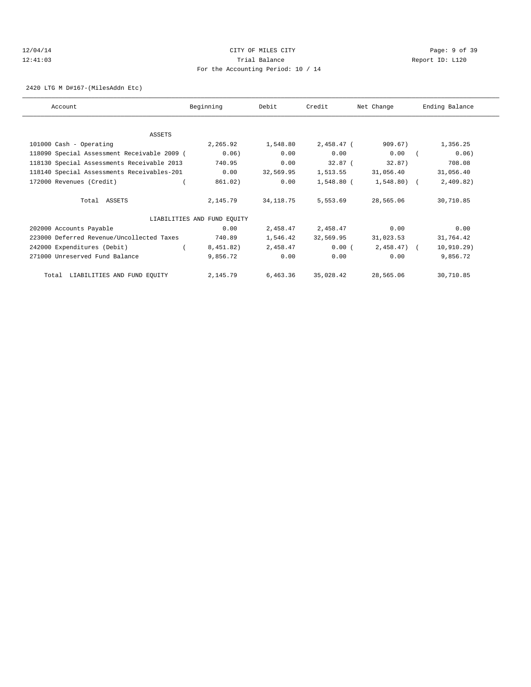# 12/04/14 CITY OF MILES CITY Page: 9 of 39 12:41:03 Trial Balance Report ID: L120 For the Accounting Period: 10 / 14

2420 LTG M D#167-(MilesAddn Etc)

| Account                                     | Beginning                   | Debit      | Credit       | Net Change   | Ending Balance |
|---------------------------------------------|-----------------------------|------------|--------------|--------------|----------------|
| ASSETS                                      |                             |            |              |              |                |
| 101000 Cash - Operating                     | 2,265.92                    | 1,548.80   | $2,458.47$ ( | 909.67)      | 1,356.25       |
| 118090 Special Assessment Receivable 2009 ( | 0.06)                       | 0.00       | 0.00         | 0.00         | 0.06)          |
| 118130 Special Assessments Receivable 2013  | 740.95                      | 0.00       | 32.87 (      | 32.87)       | 708.08         |
| 118140 Special Assessments Receivables-201  | 0.00                        | 32,569.95  | 1,513.55     | 31,056.40    | 31,056.40      |
| 172000 Revenues (Credit)                    | 861.02)                     | 0.00       | 1,548.80 (   | 1,548.80) (  | 2,409.82)      |
| Total ASSETS                                | 2,145.79                    | 34, 118.75 | 5,553.69     | 28,565.06    | 30,710.85      |
|                                             | LIABILITIES AND FUND EQUITY |            |              |              |                |
| 202000 Accounts Payable                     | 0.00                        | 2,458.47   | 2,458.47     | 0.00         | 0.00           |
| 223000 Deferred Revenue/Uncollected Taxes   | 740.89                      | 1,546.42   | 32,569.95    | 31,023.53    | 31,764.42      |
| 242000 Expenditures (Debit)                 | 8,451.82)                   | 2,458.47   | 0.00(        | $2,458.47$ ( | 10, 910.29)    |
| 271000 Unreserved Fund Balance              | 9,856.72                    | 0.00       | 0.00         | 0.00         | 9,856.72       |
| Total LIABILITIES AND FUND EQUITY           | 2,145.79                    | 6,463.36   | 35,028.42    | 28,565.06    | 30,710.85      |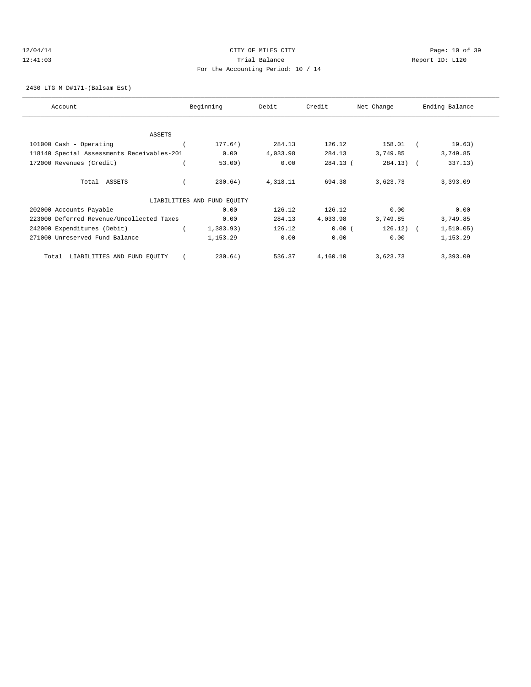## 12/04/14 Page: 10 of 39 12:41:03 Trial Balance Report ID: L120 For the Accounting Period: 10 / 14

2430 LTG M D#171-(Balsam Est)

| Account                                    | Beginning                   | Debit    | Credit   | Net Change  | Ending Balance |
|--------------------------------------------|-----------------------------|----------|----------|-------------|----------------|
|                                            |                             |          |          |             |                |
| <b>ASSETS</b>                              |                             |          |          |             |                |
| 101000 Cash - Operating                    | 177.64)                     | 284.13   | 126.12   | 158.01      | 19.63)         |
| 118140 Special Assessments Receivables-201 | 0.00                        | 4,033.98 | 284.13   | 3,749.85    | 3,749.85       |
| 172000 Revenues (Credit)                   | 53.00)                      | 0.00     | 284.13 ( | $284.13)$ ( | 337.13)        |
| Total ASSETS                               | 230.64)                     | 4,318.11 | 694.38   | 3,623.73    | 3,393.09       |
|                                            | LIABILITIES AND FUND EQUITY |          |          |             |                |
| 202000 Accounts Payable                    | 0.00                        | 126.12   | 126.12   | 0.00        | 0.00           |
| 223000 Deferred Revenue/Uncollected Taxes  | 0.00                        | 284.13   | 4,033.98 | 3,749.85    | 3,749.85       |
| 242000 Expenditures (Debit)                | 1,383.93)                   | 126.12   | 0.00(    | $126.12)$ ( | 1, 510.05)     |
| 271000 Unreserved Fund Balance             | 1,153.29                    | 0.00     | 0.00     | 0.00        | 1,153.29       |
| LIABILITIES AND FUND EQUITY<br>Total       | 230.64)                     | 536.37   | 4,160.10 | 3,623.73    | 3,393.09       |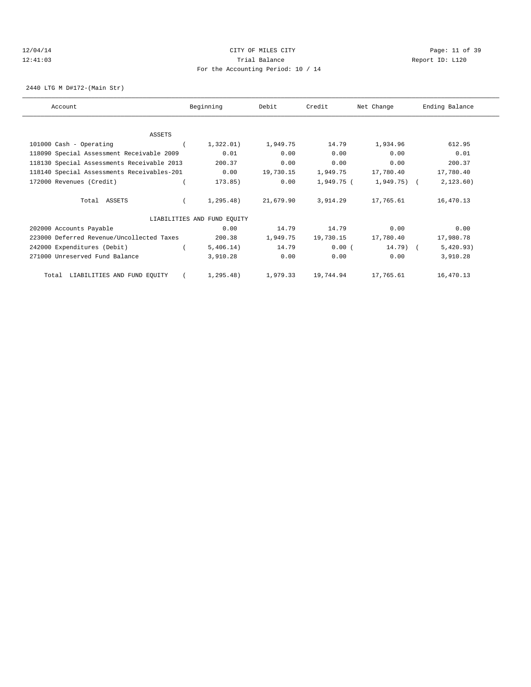# 12/04/14 Page: 11 of 39 12:41:03 Trial Balance Report ID: L120 For the Accounting Period: 10 / 14

2440 LTG M D#172-(Main Str)

| Account                                    | Beginning                   | Debit     | Credit     | Net Change  | Ending Balance |
|--------------------------------------------|-----------------------------|-----------|------------|-------------|----------------|
|                                            |                             |           |            |             |                |
| ASSETS                                     |                             |           |            |             |                |
| 101000 Cash - Operating                    | 1,322.01)                   | 1,949.75  | 14.79      | 1,934.96    | 612.95         |
| 118090 Special Assessment Receivable 2009  | 0.01                        | 0.00      | 0.00       | 0.00        | 0.01           |
| 118130 Special Assessments Receivable 2013 | 200.37                      | 0.00      | 0.00       | 0.00        | 200.37         |
| 118140 Special Assessments Receivables-201 | 0.00                        | 19,730.15 | 1,949.75   | 17,780.40   | 17,780.40      |
| 172000 Revenues (Credit)                   | 173.85)                     | 0.00      | 1,949.75 ( | 1,949.75) ( | 2,123.60)      |
| Total ASSETS                               | 1,295.48)                   | 21,679.90 | 3,914.29   | 17,765.61   | 16,470.13      |
|                                            | LIABILITIES AND FUND EQUITY |           |            |             |                |
| 202000 Accounts Payable                    | 0.00                        | 14.79     | 14.79      | 0.00        | 0.00           |
| 223000 Deferred Revenue/Uncollected Taxes  | 200.38                      | 1,949.75  | 19,730.15  | 17,780.40   | 17,980.78      |
| 242000 Expenditures (Debit)                | 5,406.14)                   | 14.79     | 0.00(      | $14.79$ (   | 5,420.93)      |
| 271000 Unreserved Fund Balance             | 3,910.28                    | 0.00      | 0.00       | 0.00        | 3,910.28       |
| Total LIABILITIES AND FUND EQUITY          | 1,295.48)                   | 1,979.33  | 19,744.94  | 17,765.61   | 16,470.13      |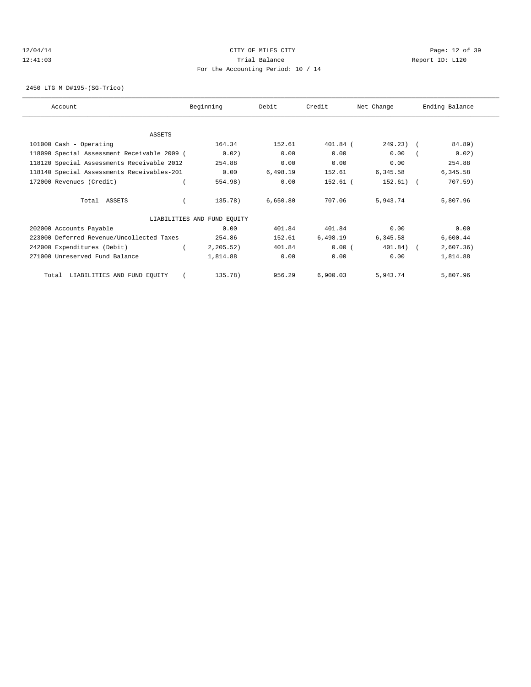## 12/04/14 Page: 12 of 39 12:41:03 Trial Balance Report ID: L120 For the Accounting Period: 10 / 14

2450 LTG M D#195-(SG-Trico)

| Account                                     | Beginning                   | Debit    | Credit   | Net Change     | Ending Balance |
|---------------------------------------------|-----------------------------|----------|----------|----------------|----------------|
|                                             |                             |          |          |                |                |
| ASSETS                                      |                             |          |          |                |                |
| 101000 Cash - Operating                     | 164.34                      | 152.61   | 401.84 ( | $249.23$ ) $($ | 84.89)         |
| 118090 Special Assessment Receivable 2009 ( | 0.02)                       | 0.00     | 0.00     | 0.00           | 0.02)          |
| 118120 Special Assessments Receivable 2012  | 254.88                      | 0.00     | 0.00     | 0.00           | 254.88         |
| 118140 Special Assessments Receivables-201  | 0.00                        | 6,498.19 | 152.61   | 6,345.58       | 6,345.58       |
| 172000 Revenues (Credit)                    | 554.98)                     | 0.00     | 152.61 ( | $152.61)$ (    | $707.59$ )     |
| Total ASSETS                                | 135.78)                     | 6,650.80 | 707.06   | 5,943.74       | 5,807.96       |
|                                             | LIABILITIES AND FUND EQUITY |          |          |                |                |
| 202000 Accounts Payable                     | 0.00                        | 401.84   | 401.84   | 0.00           | 0.00           |
| 223000 Deferred Revenue/Uncollected Taxes   | 254.86                      | 152.61   | 6,498.19 | 6,345.58       | 6,600.44       |
| 242000 Expenditures (Debit)                 | 2, 205.52)                  | 401.84   | 0.00(    | 401.84)        | 2,607.36)      |
| 271000 Unreserved Fund Balance              | 1,814.88                    | 0.00     | 0.00     | 0.00           | 1,814.88       |
| LIABILITIES AND FUND EQUITY<br>Total        | 135.78)                     | 956.29   | 6,900.03 | 5,943.74       | 5,807.96       |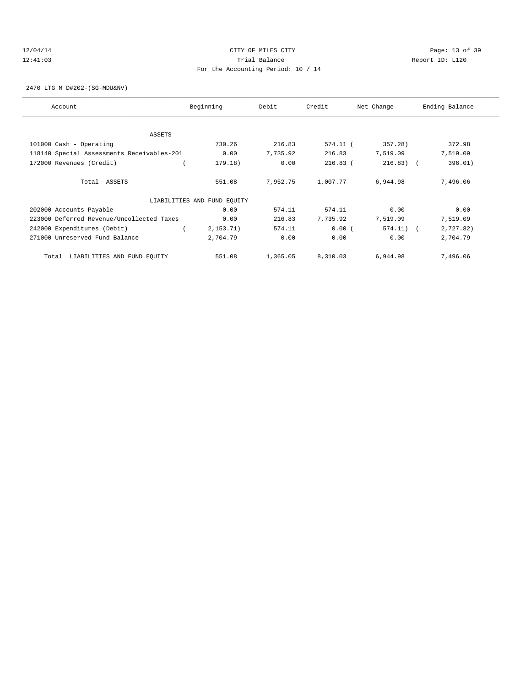## 12/04/14 Page: 13 of 39 12:41:03 Trial Balance Report ID: L120 For the Accounting Period: 10 / 14

2470 LTG M D#202-(SG-MDU&NV)

| Account                                    | Beginning                   | Debit    | Credit     | Net Change   | Ending Balance |
|--------------------------------------------|-----------------------------|----------|------------|--------------|----------------|
| <b>ASSETS</b>                              |                             |          |            |              |                |
|                                            | 730.26                      | 216.83   | 574.11 (   | 357.28)      | 372.98         |
| 101000 Cash - Operating                    |                             |          |            |              |                |
| 118140 Special Assessments Receivables-201 | 0.00                        | 7,735.92 | 216.83     | 7,519.09     | 7,519.09       |
| 172000 Revenues (Credit)                   | 179.18)                     | 0.00     | $216.83$ ( | $216.83$ ) ( | 396.01)        |
| Total ASSETS                               | 551.08                      | 7,952.75 | 1,007.77   | 6,944.98     | 7,496.06       |
|                                            | LIABILITIES AND FUND EQUITY |          |            |              |                |
| 202000 Accounts Payable                    | 0.00                        | 574.11   | 574.11     | 0.00         | 0.00           |
| 223000 Deferred Revenue/Uncollected Taxes  | 0.00                        | 216.83   | 7,735.92   | 7,519.09     | 7,519.09       |
| 242000 Expenditures (Debit)                | 2,153.71)                   | 574.11   | $0.00$ (   | $574.11)$ (  | 2,727.82)      |
| 271000 Unreserved Fund Balance             | 2,704.79                    | 0.00     | 0.00       | 0.00         | 2,704.79       |
| LIABILITIES AND FUND EQUITY<br>Total       | 551.08                      | 1,365.05 | 8,310.03   | 6,944.98     | 7,496.06       |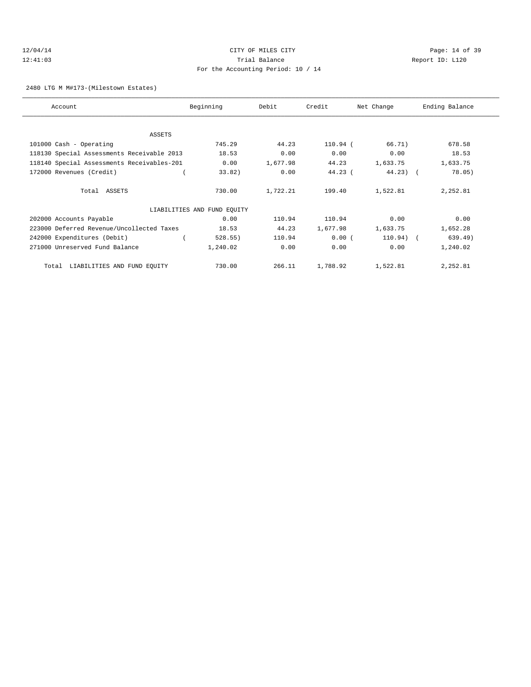# 12/04/14 Page: 14 of 39 12:41:03 Trial Balance Report ID: L120 For the Accounting Period: 10 / 14

2480 LTG M M#173-(Milestown Estates)

| Account                                    | Beginning                   | Debit    | Credit    | Net Change  | Ending Balance |
|--------------------------------------------|-----------------------------|----------|-----------|-------------|----------------|
|                                            |                             |          |           |             |                |
| ASSETS                                     |                             |          |           |             |                |
| 101000 Cash - Operating                    | 745.29                      | 44.23    | 110.94 (  | 66.71)      | 678.58         |
| 118130 Special Assessments Receivable 2013 | 18.53                       | 0.00     | 0.00      | 0.00        | 18.53          |
| 118140 Special Assessments Receivables-201 | 0.00                        | 1,677.98 | 44.23     | 1,633.75    | 1,633.75       |
| 172000 Revenues (Credit)                   | 33.82)                      | 0.00     | $44.23$ ( | $44.23$ ) ( | 78.05)         |
| Total ASSETS                               | 730.00                      | 1,722.21 | 199.40    | 1,522.81    | 2,252.81       |
|                                            | LIABILITIES AND FUND EQUITY |          |           |             |                |
| 202000 Accounts Payable                    | 0.00                        | 110.94   | 110.94    | 0.00        | 0.00           |
| 223000 Deferred Revenue/Uncollected Taxes  | 18.53                       | 44.23    | 1,677.98  | 1,633.75    | 1,652.28       |
| 242000 Expenditures (Debit)                | 528.55)                     | 110.94   | 0.00(     | 110.94)     | 639.49)        |
| 271000 Unreserved Fund Balance             | 1,240.02                    | 0.00     | 0.00      | 0.00        | 1,240.02       |
| LIABILITIES AND FUND EQUITY<br>Total       | 730.00                      | 266.11   | 1,788.92  | 1,522.81    | 2,252.81       |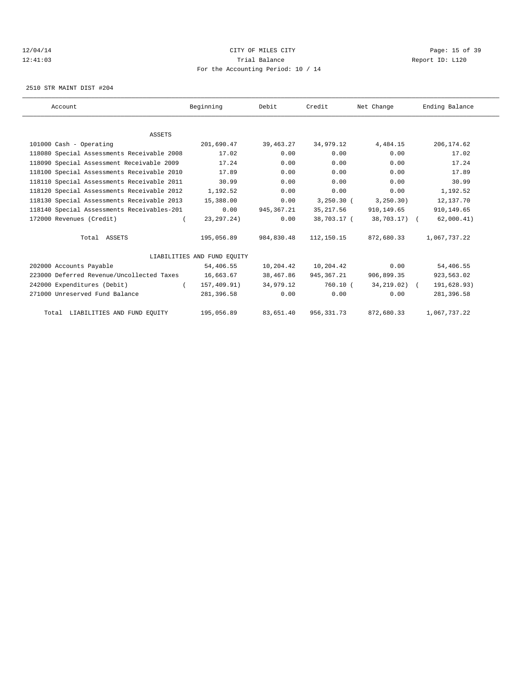# 12/04/14 Page: 15 of 39 12:41:03 Trial Balance Report ID: L120 For the Accounting Period: 10 / 14

2510 STR MAINT DIST #204

| Account                                    | Beginning                   | Debit       | Credit      | Net Change      | Ending Balance |  |
|--------------------------------------------|-----------------------------|-------------|-------------|-----------------|----------------|--|
|                                            |                             |             |             |                 |                |  |
| <b>ASSETS</b>                              |                             |             |             |                 |                |  |
| 101000 Cash - Operating                    | 201,690.47                  | 39,463.27   | 34,979.12   | 4,484.15        | 206, 174.62    |  |
| 118080 Special Assessments Receivable 2008 | 17.02                       | 0.00        | 0.00        | 0.00            | 17.02          |  |
| 118090 Special Assessment Receivable 2009  | 17.24                       | 0.00        | 0.00        | 0.00            | 17.24          |  |
| 118100 Special Assessments Receivable 2010 | 17.89                       | 0.00        | 0.00        | 0.00            | 17.89          |  |
| 118110 Special Assessments Receivable 2011 | 30.99                       | 0.00        | 0.00        | 0.00            | 30.99          |  |
| 118120 Special Assessments Receivable 2012 | 1,192.52                    | 0.00        | 0.00        | 0.00            | 1,192.52       |  |
| 118130 Special Assessments Receivable 2013 | 15,388.00                   | 0.00        | 3,250.30(   | 3, 250.30)      | 12,137.70      |  |
| 118140 Special Assessments Receivables-201 | 0.00                        | 945, 367.21 | 35, 217.56  | 910,149.65      | 910, 149.65    |  |
| 172000 Revenues (Credit)                   | 23, 297. 24)                | 0.00        | 38,703.17 ( | 38,703.17) (    | 62,000.41)     |  |
| Total ASSETS                               | 195,056.89                  | 984,830.48  | 112,150.15  | 872,680.33      | 1,067,737.22   |  |
|                                            | LIABILITIES AND FUND EOUITY |             |             |                 |                |  |
| 202000 Accounts Payable                    | 54,406.55                   | 10,204.42   | 10,204.42   | 0.00            | 54,406.55      |  |
| 223000 Deferred Revenue/Uncollected Taxes  | 16,663.67                   | 38,467.86   | 945,367.21  | 906,899.35      | 923,563.02     |  |
| 242000 Expenditures (Debit)                | 157,409.91)<br>$\left($     | 34,979.12   | 760.10 (    | $34, 219.02)$ ( | 191,628.93)    |  |
| 271000 Unreserved Fund Balance             | 281,396.58                  | 0.00        | 0.00        | 0.00            | 281,396.58     |  |
| Total LIABILITIES AND FUND EQUITY          | 195,056.89                  | 83,651.40   | 956, 331.73 | 872,680.33      | 1,067,737.22   |  |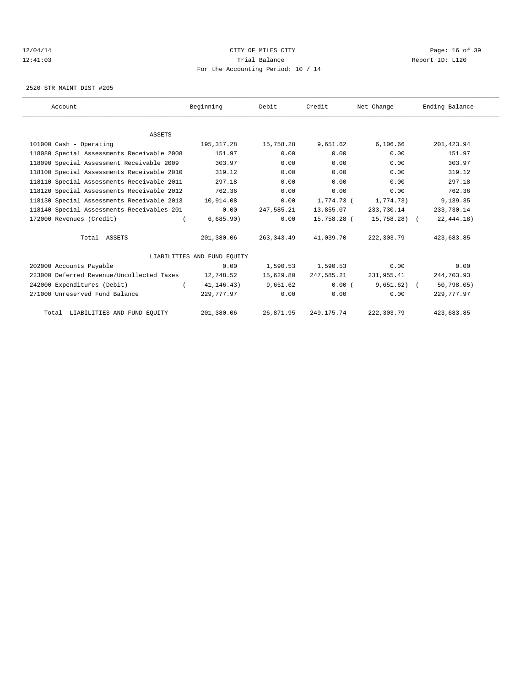# 12/04/14 Page: 16 of 39 12:41:03 Trial Balance Report ID: L120 For the Accounting Period: 10 / 14

2520 STR MAINT DIST #205

| Account                                    | Beginning                   | Debit       | Credit       | Net Change   | Ending Balance |  |
|--------------------------------------------|-----------------------------|-------------|--------------|--------------|----------------|--|
|                                            |                             |             |              |              |                |  |
| <b>ASSETS</b>                              |                             |             |              |              |                |  |
| 101000 Cash - Operating                    | 195,317.28                  | 15,758.28   | 9,651.62     | 6, 106.66    | 201, 423.94    |  |
| 118080 Special Assessments Receivable 2008 | 151.97                      | 0.00        | 0.00         | 0.00         | 151.97         |  |
| 118090 Special Assessment Receivable 2009  | 303.97                      | 0.00        | 0.00         | 0.00         | 303.97         |  |
| 118100 Special Assessments Receivable 2010 | 319.12                      | 0.00        | 0.00         | 0.00         | 319.12         |  |
| 118110 Special Assessments Receivable 2011 | 297.18                      | 0.00        | 0.00         | 0.00         | 297.18         |  |
| 118120 Special Assessments Receivable 2012 | 762.36                      | 0.00        | 0.00         | 0.00         | 762.36         |  |
| 118130 Special Assessments Receivable 2013 | 10,914.08                   | 0.00        | 1,774.73 (   | 1,774.73)    | 9,139.35       |  |
| 118140 Special Assessments Receivables-201 | 0.00                        | 247,585.21  | 13,855.07    | 233,730.14   | 233,730.14     |  |
| 172000 Revenues (Credit)                   | 6,685.90)                   | 0.00        | 15,758.28 (  | 15,758.28) ( | 22, 444.18)    |  |
| Total ASSETS                               | 201,380.06                  | 263, 343.49 | 41,039.70    | 222,303.79   | 423,683.85     |  |
|                                            | LIABILITIES AND FUND EOUITY |             |              |              |                |  |
| 202000 Accounts Payable                    | 0.00                        | 1,590.53    | 1,590.53     | 0.00         | 0.00           |  |
| 223000 Deferred Revenue/Uncollected Taxes  | 12,748.52                   | 15,629.80   | 247,585.21   | 231,955.41   | 244,703.93     |  |
| 242000 Expenditures (Debit)                | 41, 146.43)                 | 9,651.62    | 0.00(        | $9,651.62$ ( | 50, 798.05     |  |
| 271000 Unreserved Fund Balance             | 229,777.97                  | 0.00        | 0.00         | 0.00         | 229,777.97     |  |
| Total LIABILITIES AND FUND EQUITY          | 201,380.06                  | 26,871.95   | 249, 175. 74 | 222,303.79   | 423,683.85     |  |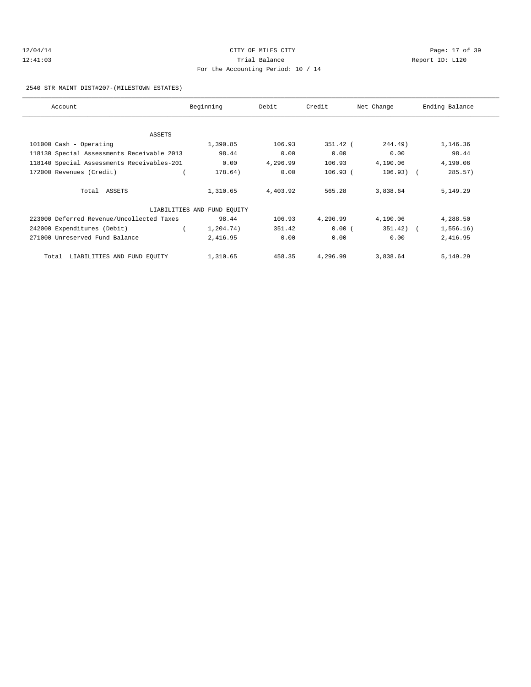# 12/04/14 Page: 17 of 39 12:41:03 Trial Balance Report ID: L120 For the Accounting Period: 10 / 14

### 2540 STR MAINT DIST#207-(MILESTOWN ESTATES)

| Account                                    | Beginning                   | Debit    | Credit     | Net Change   | Ending Balance |
|--------------------------------------------|-----------------------------|----------|------------|--------------|----------------|
|                                            |                             |          |            |              |                |
| ASSETS                                     |                             |          |            |              |                |
| 101000 Cash - Operating                    | 1,390.85                    | 106.93   | $351.42$ ( | 244.49)      | 1,146.36       |
| 118130 Special Assessments Receivable 2013 | 98.44                       | 0.00     | 0.00       | 0.00         | 98.44          |
| 118140 Special Assessments Receivables-201 | 0.00                        | 4,296.99 | 106.93     | 4,190.06     | 4,190.06       |
| 172000 Revenues (Credit)                   | 178.64)                     | 0.00     | 106.93(    | $106.93)$ (  | 285.57)        |
| Total ASSETS                               | 1,310.65                    | 4,403.92 | 565.28     | 3,838.64     | 5,149.29       |
|                                            | LIABILITIES AND FUND EQUITY |          |            |              |                |
| 223000 Deferred Revenue/Uncollected Taxes  | 98.44                       | 106.93   | 4,296.99   | 4,190.06     | 4,288.50       |
| 242000 Expenditures (Debit)                | 1,204.74)                   | 351.42   | 0.00(      | $351.42$ ) ( | 1,556.16)      |
| 271000 Unreserved Fund Balance             | 2,416.95                    | 0.00     | 0.00       | 0.00         | 2,416.95       |
| LIABILITIES AND FUND EQUITY<br>Total       | 1,310.65                    | 458.35   | 4,296.99   | 3,838.64     | 5,149.29       |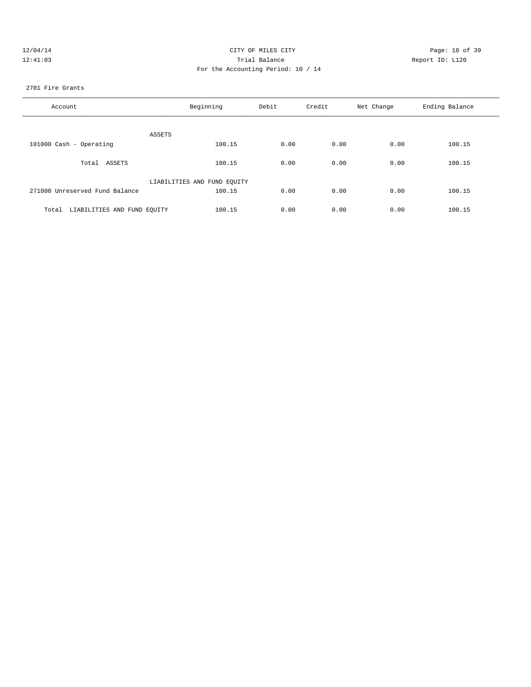| 12/04/14 | CITY OF MILES CITY                 |    |
|----------|------------------------------------|----|
| 12:41:03 | Trial Balance                      | Re |
|          | For the Accounting Period: 10 / 14 |    |
|          |                                    |    |

Page: 18 of 39 leport ID: L120

## 2701 Fire Grants

| Account                              | Beginning                   | Debit | Credit | Net Change | Ending Balance |
|--------------------------------------|-----------------------------|-------|--------|------------|----------------|
| ASSETS                               |                             |       |        |            |                |
| 101000 Cash - Operating              | 100.15                      | 0.00  | 0.00   | 0.00       | 100.15         |
| Total ASSETS                         | 100.15                      | 0.00  | 0.00   | 0.00       | 100.15         |
|                                      | LIABILITIES AND FUND EQUITY |       |        |            |                |
| 271000 Unreserved Fund Balance       | 100.15                      | 0.00  | 0.00   | 0.00       | 100.15         |
| LIABILITIES AND FUND EQUITY<br>Total | 100.15                      | 0.00  | 0.00   | 0.00       | 100.15         |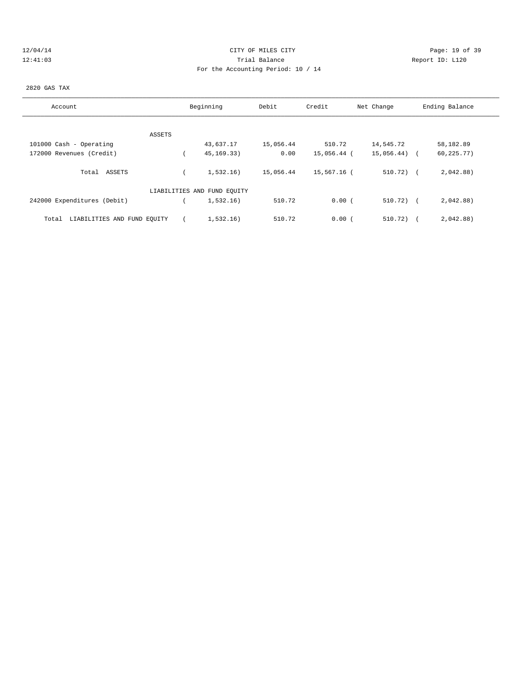# 12/04/14 Page: 19 of 39 12:41:03 Trial Balance Report ID: L120 For the Accounting Period: 10 / 14

### 2820 GAS TAX

| Account                              | Beginning                   | Debit     | Credit      | Net Change   | Ending Balance            |
|--------------------------------------|-----------------------------|-----------|-------------|--------------|---------------------------|
|                                      |                             |           |             |              |                           |
| ASSETS                               |                             |           |             |              |                           |
| 101000 Cash - Operating              | 43,637.17                   | 15,056.44 | 510.72      | 14,545.72    | 58,182.89                 |
| 172000 Revenues (Credit)             | 45, 169. 33)                | 0.00      | 15,056.44 ( | 15,056.44)   | 60, 225.77)<br>$\sqrt{2}$ |
| Total ASSETS                         | 1,532.16)                   | 15,056.44 | 15,567.16 ( | $510.72$ (   | 2,042.88)                 |
|                                      | LIABILITIES AND FUND EQUITY |           |             |              |                           |
| 242000 Expenditures (Debit)          | 1,532.16)                   | 510.72    | 0.00(       | $510.72$ ) ( | 2,042.88)                 |
| LIABILITIES AND FUND EQUITY<br>Total | 1,532.16)                   | 510.72    | 0.00(       | 510.72)      | 2,042.88)                 |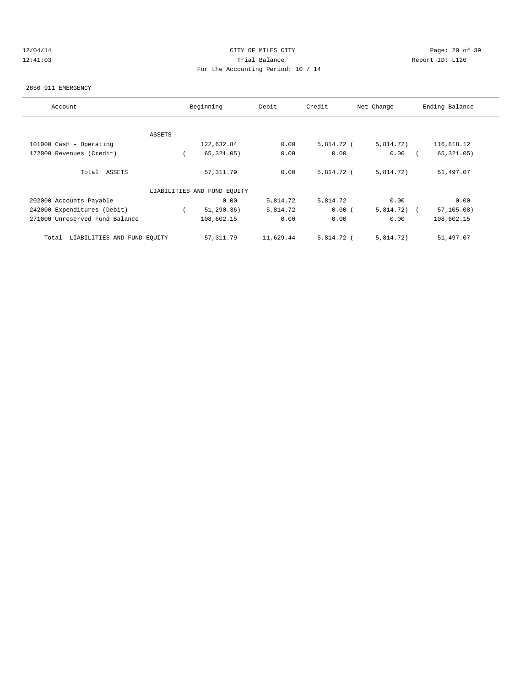# 12/04/14 Page: 20 of 39 12:41:03 Trial Balance Report ID: L120 For the Accounting Period: 10 / 14

#### 2850 911 EMERGENCY

| Account                              |        | Beginning                   | Debit     | Credit     | Net Change | Ending Balance            |
|--------------------------------------|--------|-----------------------------|-----------|------------|------------|---------------------------|
|                                      |        |                             |           |            |            |                           |
|                                      | ASSETS |                             |           |            |            |                           |
| 101000 Cash - Operating              |        | 122,632.84                  | 0.00      | 5,814.72 ( | 5,814.72)  | 116,818.12                |
| 172000 Revenues (Credit)             |        | 65, 321.05)                 | 0.00      | 0.00       | 0.00       | 65, 321.05)               |
| Total ASSETS                         |        | 57, 311.79                  | 0.00      | 5,814.72 ( | 5,814.72)  | 51,497.07                 |
|                                      |        | LIABILITIES AND FUND EQUITY |           |            |            |                           |
| 202000 Accounts Payable              |        | 0.00                        | 5,814.72  | 5,814.72   | 0.00       | 0.00                      |
| 242000 Expenditures (Debit)          |        | 51, 290.36)                 | 5,814.72  | 0.00(      | 5,814.72)  | 57, 105.08)<br>$\sqrt{2}$ |
| 271000 Unreserved Fund Balance       |        | 108,602.15                  | 0.00      | 0.00       | 0.00       | 108,602.15                |
| LIABILITIES AND FUND EQUITY<br>Total |        | 57,311.79                   | 11,629.44 | 5,814.72 ( | 5,814.72)  | 51,497.07                 |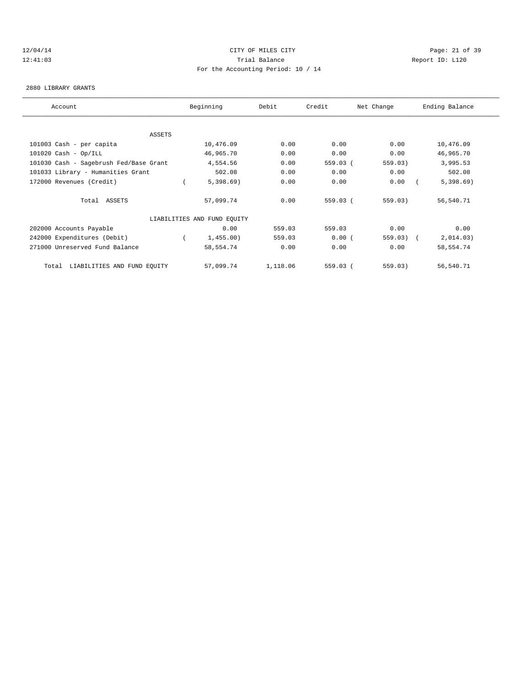# 12/04/14 Page: 21 of 39 12:41:03 Trial Balance Report ID: L120 For the Accounting Period: 10 / 14

#### 2880 LIBRARY GRANTS

| Account                                | Beginning                   | Debit    | Credit   | Net Change  | Ending Balance |
|----------------------------------------|-----------------------------|----------|----------|-------------|----------------|
|                                        |                             |          |          |             |                |
| ASSETS                                 |                             |          |          |             |                |
| 101003 Cash - per capita               | 10,476.09                   | 0.00     | 0.00     | 0.00        | 10,476.09      |
| $101020$ Cash - Op/ILL                 | 46,965.70                   | 0.00     | 0.00     | 0.00        | 46,965.70      |
| 101030 Cash - Sagebrush Fed/Base Grant | 4,554.56                    | 0.00     | 559.03 ( | 559.03)     | 3,995.53       |
| 101033 Library - Humanities Grant      | 502.08                      | 0.00     | 0.00     | 0.00        | 502.08         |
| 172000 Revenues (Credit)               | 5,398.69                    | 0.00     | 0.00     | 0.00        | 5,398.69       |
| Total ASSETS                           | 57,099.74                   | 0.00     | 559.03 ( | 559.03)     | 56,540.71      |
|                                        | LIABILITIES AND FUND EQUITY |          |          |             |                |
| 202000 Accounts Payable                | 0.00                        | 559.03   | 559.03   | 0.00        | 0.00           |
| 242000 Expenditures (Debit)            | 1,455.00)                   | 559.03   | 0.00(    | $559.03)$ ( | 2,014.03)      |
| 271000 Unreserved Fund Balance         | 58,554.74                   | 0.00     | 0.00     | 0.00        | 58,554.74      |
| LIABILITIES AND FUND EQUITY<br>Total   | 57,099.74                   | 1,118.06 | 559.03 ( | 559.03)     | 56,540.71      |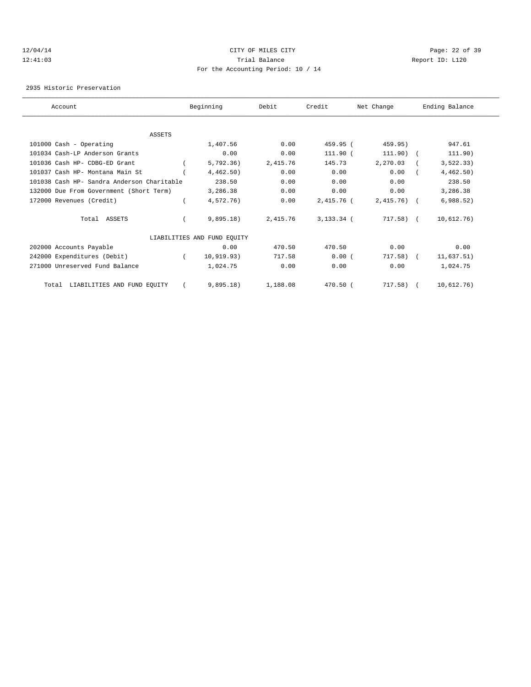## 12/04/14 Page: 22 of 39 12:41:03 Trial Balance Report ID: L120 For the Accounting Period: 10 / 14

2935 Historic Preservation

| Account                                    | Beginning                   | Debit    | Credit       | Net Change   | Ending Balance |  |
|--------------------------------------------|-----------------------------|----------|--------------|--------------|----------------|--|
|                                            |                             |          |              |              |                |  |
| <b>ASSETS</b>                              |                             |          |              |              |                |  |
| 101000 Cash - Operating                    | 1,407.56                    | 0.00     | 459.95 (     | 459.95)      | 947.61         |  |
| 101034 Cash-LP Anderson Grants             | 0.00                        | 0.00     | 111.90 (     | 111.90)      | 111.90)        |  |
| 101036 Cash HP- CDBG-ED Grant              | 5,792.36)                   | 2,415.76 | 145.73       | 2,270.03     | 3, 522.33)     |  |
| 101037 Cash HP- Montana Main St            | 4,462.50)                   | 0.00     | 0.00         | 0.00         | 4,462.50)      |  |
| 101038 Cash HP- Sandra Anderson Charitable | 238.50                      | 0.00     | 0.00         | 0.00         | 238.50         |  |
| 132000 Due From Government (Short Term)    | 3,286.38                    | 0.00     | 0.00         | 0.00         | 3,286.38       |  |
| 172000 Revenues (Credit)                   | 4,572.76)                   | 0.00     | 2,415.76 (   | $2,415.76$ ( | 6,988.52)      |  |
| Total ASSETS                               | 9,895.18)                   | 2,415.76 | $3,133.34$ ( | $717.58$ ) ( | 10,612.76)     |  |
|                                            | LIABILITIES AND FUND EQUITY |          |              |              |                |  |
| 202000 Accounts Payable                    | 0.00                        | 470.50   | 470.50       | 0.00         | 0.00           |  |
| 242000 Expenditures (Debit)                | 10, 919.93)                 | 717.58   | 0.00(        | 717.58)      | 11,637.51)     |  |
| 271000 Unreserved Fund Balance             | 1,024.75                    | 0.00     | 0.00         | 0.00         | 1,024.75       |  |
| LIABILITIES AND FUND EQUITY<br>Total       | 9,895.18)                   | 1,188.08 | 470.50 (     | $717.58$ ) ( | 10,612.76)     |  |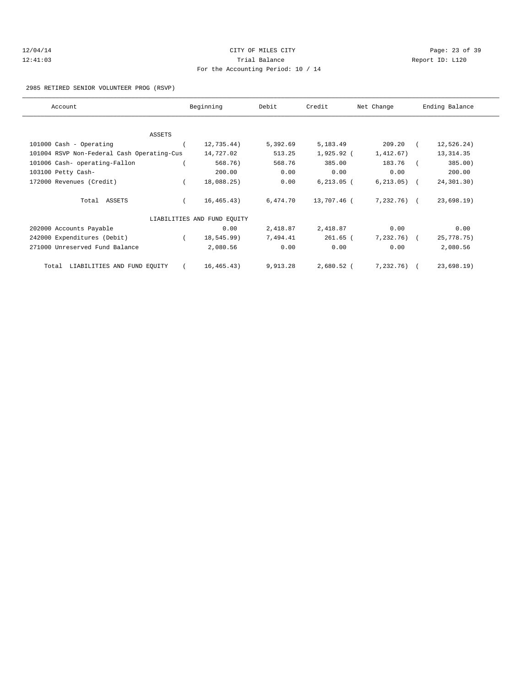| 12/04/14 |  |
|----------|--|
| 12:41:03 |  |

# CITY OF MILES CITY **CITY** Page: 23 of 39 Trial Balance and Communicated Report ID: L120 For the Accounting Period: 10 / 14

### 2985 RETIRED SENIOR VOLUNTEER PROG (RSVP)

| Account                                    | Beginning                   | Debit    | Credit        | Net Change      | Ending Balance |  |
|--------------------------------------------|-----------------------------|----------|---------------|-----------------|----------------|--|
|                                            |                             |          |               |                 |                |  |
| ASSETS                                     |                             |          |               |                 |                |  |
| 101000 Cash - Operating                    | 12,735.44)                  | 5,392.69 | 5,183.49      | 209.20          | 12,526.24)     |  |
| 101004 RSVP Non-Federal Cash Operating-Cus | 14,727.02                   | 513.25   | $1,925.92$ (  | 1,412.67)       | 13, 314.35     |  |
| 101006 Cash- operating-Fallon              | 568.76)                     | 568.76   | 385.00        | 183.76          | 385.00)        |  |
| 103100 Petty Cash-                         | 200.00                      | 0.00     | 0.00          | 0.00            | 200.00         |  |
| 172000 Revenues (Credit)                   | 18,088.25)                  | 0.00     | $6, 213.05$ ( | $6, 213, 05)$ ( | 24,301.30)     |  |
| Total ASSETS                               | 16, 465.43)                 | 6,474.70 | 13,707.46 (   | $7,232.76$ (    | 23,698.19)     |  |
|                                            | LIABILITIES AND FUND EQUITY |          |               |                 |                |  |
| 202000 Accounts Payable                    | 0.00                        | 2,418.87 | 2,418.87      | 0.00            | 0.00           |  |
| 242000 Expenditures (Debit)                | 18,545.99)                  | 7,494.41 | $261.65$ (    | $7,232.76$ (    | 25,778.75)     |  |
| 271000 Unreserved Fund Balance             | 2,080.56                    | 0.00     | 0.00          | 0.00            | 2,080.56       |  |
| LIABILITIES AND FUND EQUITY<br>Total       | 16, 465.43)                 | 9,913.28 | $2,680.52$ (  | 7,232,76)       | 23,698.19      |  |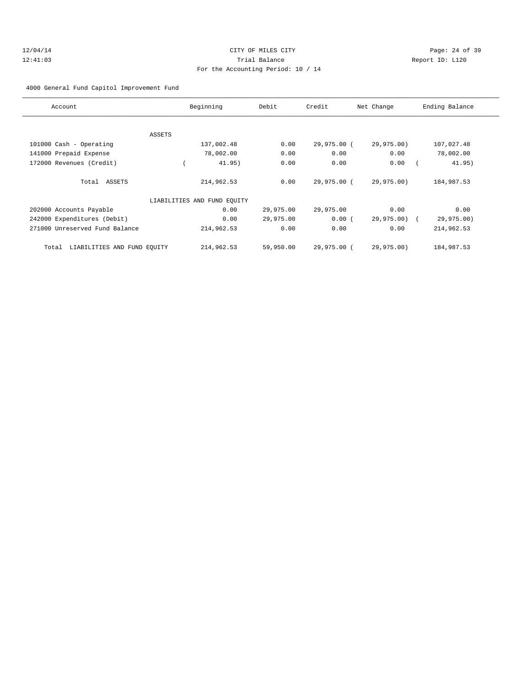# 12/04/14 Page: 24 of 39 12:41:03 Trial Balance Report ID: L120 For the Accounting Period: 10 / 14

### 4000 General Fund Capitol Improvement Fund

| Account                           |        | Beginning                   | Debit     | Credit      | Net Change   | Ending Balance |
|-----------------------------------|--------|-----------------------------|-----------|-------------|--------------|----------------|
|                                   |        |                             |           |             |              |                |
|                                   | ASSETS |                             |           |             |              |                |
| 101000 Cash - Operating           |        | 137,002.48                  | 0.00      | 29,975.00 ( | 29,975.00)   | 107,027.48     |
| 141000 Prepaid Expense            |        | 78,002.00                   | 0.00      | 0.00        | 0.00         | 78,002.00      |
| 172000 Revenues (Credit)          |        | 41.95)                      | 0.00      | 0.00        | 0.00         | 41.95)         |
| Total ASSETS                      |        | 214,962.53                  | 0.00      | 29,975.00 ( | 29,975.00)   | 184,987.53     |
|                                   |        | LIABILITIES AND FUND EQUITY |           |             |              |                |
| 202000 Accounts Payable           |        | 0.00                        | 29,975.00 | 29,975.00   | 0.00         | 0.00           |
| 242000 Expenditures (Debit)       |        | 0.00                        | 29,975.00 | 0.00(       | 29,975.00) ( | 29,975.00)     |
| 271000 Unreserved Fund Balance    |        | 214,962.53                  | 0.00      | 0.00        | 0.00         | 214,962.53     |
| Total LIABILITIES AND FUND EQUITY |        | 214,962.53                  | 59,950.00 | 29,975.00 ( | 29,975.00)   | 184,987.53     |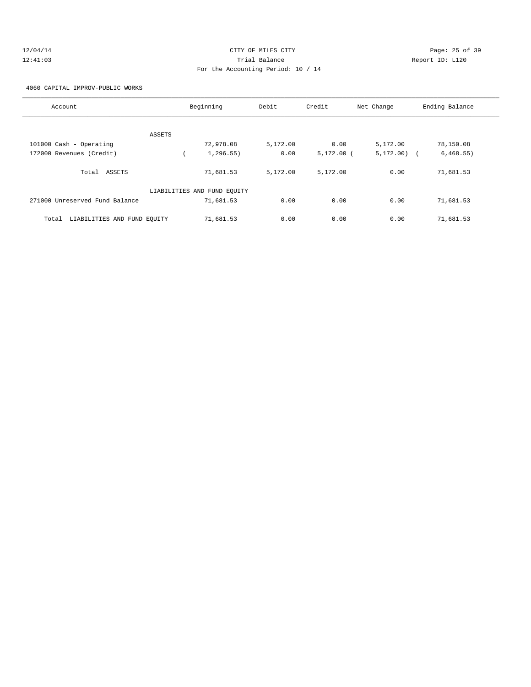# 12/04/14 Page: 25 of 39 12:41:03 Trial Balance Report ID: L120 For the Accounting Period: 10 / 14

4060 CAPITAL IMPROV-PUBLIC WORKS

| Account                              | Beginning                   | Debit    | Credit       | Net Change  | Ending Balance |
|--------------------------------------|-----------------------------|----------|--------------|-------------|----------------|
|                                      |                             |          |              |             |                |
| ASSETS                               |                             |          |              |             |                |
| 101000 Cash - Operating              | 72,978.08                   | 5,172.00 | 0.00         | 5,172.00    | 78,150.08      |
| 172000 Revenues (Credit)             | 1, 296.55)                  | 0.00     | $5,172.00$ ( | 5, 172, 00) | 6,468.55)      |
| Total ASSETS                         | 71,681.53                   | 5,172.00 | 5,172.00     | 0.00        | 71,681.53      |
|                                      | LIABILITIES AND FUND EQUITY |          |              |             |                |
| 271000 Unreserved Fund Balance       | 71,681.53                   | 0.00     | 0.00         | 0.00        | 71,681.53      |
| LIABILITIES AND FUND EQUITY<br>Total | 71,681.53                   | 0.00     | 0.00         | 0.00        | 71,681.53      |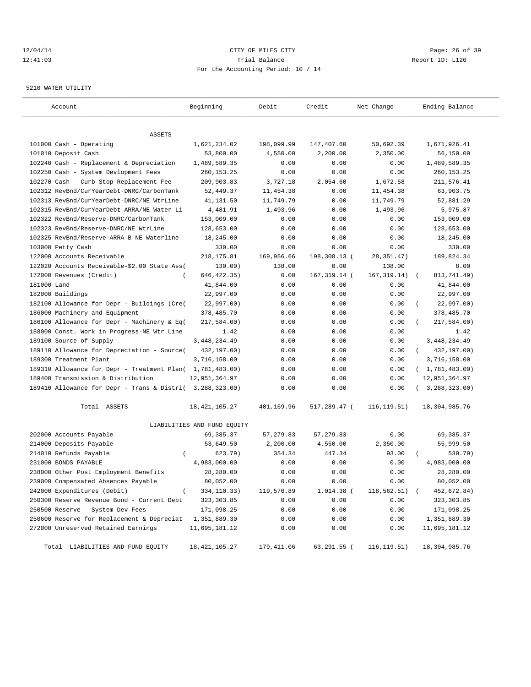## 12/04/14 Page: 26 of 39 12:41:03 Trial Balance Report ID: L120 For the Accounting Period: 10 / 14

#### 5210 WATER UTILITY

| Account                                                   | Beginning                   | Debit      | Credit        | Net Change       | Ending Balance            |
|-----------------------------------------------------------|-----------------------------|------------|---------------|------------------|---------------------------|
|                                                           |                             |            |               |                  |                           |
| ASSETS                                                    |                             |            |               |                  |                           |
| 101000 Cash - Operating                                   | 1,621,234.02                | 198,099.99 | 147,407.60    | 50,692.39        | 1,671,926.41              |
| 101010 Deposit Cash                                       | 53,800.00                   | 4,550.00   | 2,200.00      | 2,350.00         | 56,150.00                 |
| 102240 Cash - Replacement & Depreciation                  | 1,489,589.35                | 0.00       | 0.00          | 0.00             | 1,489,589.35              |
| 102250 Cash - System Devlopment Fees                      | 260, 153. 25                | 0.00       | 0.00          | 0.00             | 260, 153. 25              |
| 102270 Cash - Curb Stop Replacement Fee                   | 209,903.83                  | 3,727.18   | 2,054.60      | 1,672.58         | 211,576.41                |
| 102312 RevBnd/CurYearDebt-DNRC/CarbonTank                 | 52, 449.37                  | 11,454.38  | 0.00          | 11,454.38        | 63,903.75                 |
| 102313 RevBnd/CurYearDebt-DNRC/NE WtrLine                 | 41,131.50                   | 11,749.79  | 0.00          | 11,749.79        | 52,881.29                 |
| 102315 RevBnd/CurYearDebt-ARRA/NE Water Li                | 4,481.91                    | 1,493.96   | 0.00          | 1,493.96         | 5,975.87                  |
| 102322 RevBnd/Reserve-DNRC/CarbonTank                     | 153,009.00                  | 0.00       | 0.00          | 0.00             | 153,009.00                |
| 102323 RevBnd/Reserve-DNRC/NE WtrLine                     | 128,653.00                  | 0.00       | 0.00          | 0.00             | 128,653.00                |
| 102325 RevBnd/Reserve-ARRA B-NE Waterline                 | 18,245.00                   | 0.00       | 0.00          | 0.00             | 18,245.00                 |
| 103000 Petty Cash                                         | 330.00                      | 0.00       | 0.00          | 0.00             | 330.00                    |
| 122000 Accounts Receivable                                | 218, 175.81                 | 169,956.66 | 198,308.13 (  | 28, 351.47)      | 189,824.34                |
| 122020 Accounts Receivable-\$2.00 State Ass(              | 130.00)                     | 138.00     | 0.00          | 138.00           | 8.00                      |
| 172000 Revenues (Credit)<br>$\overline{ }$                | 646, 422.35)                | 0.00       | 167, 319.14 ( | 167, 319.14)     | 813,741.49)<br>$\sqrt{2}$ |
| 181000 Land                                               | 41,844.00                   | 0.00       | 0.00          | 0.00             | 41,844.00                 |
| 182000 Buildings                                          | 22,997.00                   | 0.00       | 0.00          | 0.00             | 22,997.00                 |
| 182100 Allowance for Depr - Buildings (Cre(               | 22,997.00)                  | 0.00       | 0.00          | 0.00             | 22,997.00)                |
| 186000 Machinery and Equipment                            | 378,485.70                  | 0.00       | 0.00          | 0.00             | 378,485.70                |
| 186100 Allowance for Depr - Machinery & Eq(               | 217,584.00)                 | 0.00       | 0.00          | 0.00             | 217,584.00)               |
| 188000 Const. Work in Progress-NE Wtr Line                | 1.42                        | 0.00       | 0.00          | 0.00             | 1.42                      |
| 189100 Source of Supply                                   | 3, 448, 234.49              | 0.00       | 0.00          | 0.00             | 3, 448, 234.49            |
| 189110 Allowance for Depreciation - Source(               | 432,197.00)                 | 0.00       | 0.00          | 0.00             | 432,197.00)<br>$\left($   |
| 189300 Treatment Plant                                    | 3,716,158.00                | 0.00       | 0.00          | 0.00             | 3,716,158.00              |
| 189310 Allowance for Depr - Treatment Plan( 1,781,483.00) |                             | 0.00       | 0.00          | 0.00             | (1, 781, 483.00)          |
| 189400 Transmission & Distribution                        | 12,951,364.97               | 0.00       | 0.00          | 0.00             | 12,951,364.97             |
| 189410 Allowance for Depr - Trans & Distri( 3,288,323.00) |                             | 0.00       | 0.00          | 0.00             | (3, 288, 323.00)          |
| Total ASSETS                                              | 18, 421, 105. 27            | 401,169.96 | 517,289.47 (  | 116, 119.51)     | 18,304,985.76             |
|                                                           | LIABILITIES AND FUND EQUITY |            |               |                  |                           |
| 202000 Accounts Payable                                   | 69, 385. 37                 | 57,279.83  | 57, 279.83    | 0.00             | 69,385.37                 |
| 214000 Deposits Payable                                   | 53,649.50                   | 2,200.00   | 4,550.00      | 2,350.00         | 55,999.50                 |
| 214010 Refunds Payable<br>$\left($                        | 623.79)                     | 354.34     | 447.34        | 93.00            | 530.79)                   |
| 231000 BONDS PAYABLE                                      | 4,983,000.00                | 0.00       | 0.00          | 0.00             | 4,983,000.00              |
| 238000 Other Post Employment Benefits                     | 28,280.00                   | 0.00       | 0.00          | 0.00             | 28,280.00                 |
| 239000 Compensated Absences Payable                       | 80,052.00                   | 0.00       | 0.00          | 0.00             | 80,052.00                 |
| 242000 Expenditures (Debit)<br>$\left($                   | $334, 110.33)$              | 119,576.89 | 1,014.38 (    | $118, 562.51)$ ( | 452,672.84)               |
| 250300 Reserve Revenue Bond - Current Debt                | 323, 303.85                 | 0.00       | 0.00          | 0.00             | 323,303.85                |
| 250500 Reserve - System Dev Fees                          | 171,098.25                  | 0.00       | 0.00          | 0.00             | 171,098.25                |
| 250600 Reserve for Replacement & Depreciat                | 1,351,889.30                | 0.00       | 0.00          | 0.00             | 1,351,889.30              |
| 272000 Unreserved Retained Earnings                       | 11,695,181.12               | 0.00       | 0.00          | 0.00             | 11,695,181.12             |
| Total LIABILITIES AND FUND EQUITY                         | 18,421,105.27               | 179,411.06 | 63,291.55 (   | 116,119.51)      | 18,304,985.76             |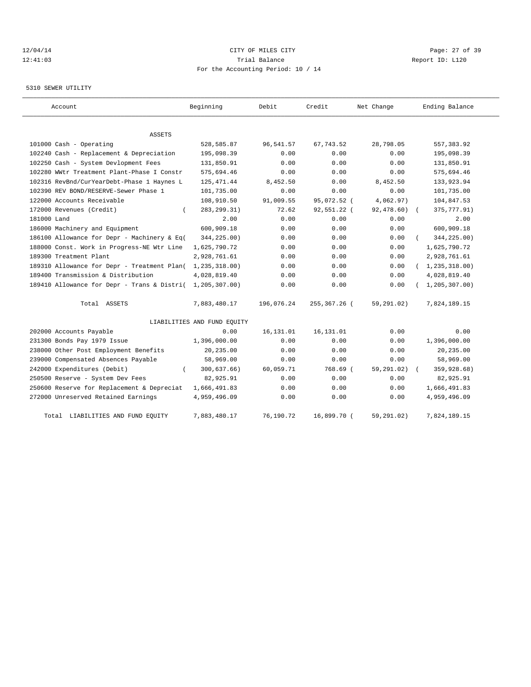# 12/04/14 Page: 27 of 39 12:41:03 Trial Balance Report ID: L120 For the Accounting Period: 10 / 14

## 5310 SEWER UTILITY

| Account                                     | Beginning                   | Debit      | Credit       | Net Change | Ending Balance             |
|---------------------------------------------|-----------------------------|------------|--------------|------------|----------------------------|
|                                             |                             |            |              |            |                            |
| ASSETS                                      |                             |            |              |            |                            |
| 101000 Cash - Operating                     | 528,585.87                  | 96,541.57  | 67, 743.52   | 28,798.05  | 557,383.92                 |
| 102240 Cash - Replacement & Depreciation    | 195,098.39                  | 0.00       | 0.00         | 0.00       | 195,098.39                 |
| 102250 Cash - System Devlopment Fees        | 131,850.91                  | 0.00       | 0.00         | 0.00       | 131,850.91                 |
| 102280 WWtr Treatment Plant-Phase I Constr  | 575,694.46                  | 0.00       | 0.00         | 0.00       | 575,694.46                 |
| 102316 RevBnd/CurYearDebt-Phase 1 Haynes L  | 125, 471.44                 | 8,452.50   | 0.00         | 8,452.50   | 133,923.94                 |
| 102390 REV BOND/RESERVE-Sewer Phase 1       | 101,735.00                  | 0.00       | 0.00         | 0.00       | 101,735.00                 |
| 122000 Accounts Receivable                  | 108,910.50                  | 91,009.55  | 95,072.52 (  | 4,062.97)  | 104,847.53                 |
| 172000 Revenues (Credit)                    | 283, 299. 31)               | 72.62      | 92,551.22 (  | 92,478.60) | 375, 777.91)<br>$\sqrt{2}$ |
| 181000 Land                                 | 2.00                        | 0.00       | 0.00         | 0.00       | 2.00                       |
| 186000 Machinery and Equipment              | 600,909.18                  | 0.00       | 0.00         | 0.00       | 600,909.18                 |
| 186100 Allowance for Depr - Machinery & Eq( | 344,225.00)                 | 0.00       | 0.00         | 0.00       | 344,225.00)                |
| 188000 Const. Work in Progress-NE Wtr Line  | 1,625,790.72                | 0.00       | 0.00         | 0.00       | 1,625,790.72               |
| 189300 Treatment Plant                      | 2,928,761.61                | 0.00       | 0.00         | 0.00       | 2,928,761.61               |
| 189310 Allowance for Depr - Treatment Plan( | 1,235,318.00)               | 0.00       | 0.00         | 0.00       | (1, 235, 318.00)           |
| 189400 Transmission & Distribution          | 4,028,819.40                | 0.00       | 0.00         | 0.00       | 4,028,819.40               |
| 189410 Allowance for Depr - Trans & Distri( | 1,205,307.00)               | 0.00       | 0.00         | 0.00       | 1, 205, 307.00             |
| Total ASSETS                                | 7,883,480.17                | 196,076.24 | 255,367.26 ( | 59,291.02) | 7,824,189.15               |
|                                             | LIABILITIES AND FUND EQUITY |            |              |            |                            |
| 202000 Accounts Payable                     | 0.00                        | 16,131.01  | 16, 131.01   | 0.00       | 0.00                       |
| 231300 Bonds Pay 1979 Issue                 | 1,396,000.00                | 0.00       | 0.00         | 0.00       | 1,396,000.00               |
| 238000 Other Post Employment Benefits       | 20,235.00                   | 0.00       | 0.00         | 0.00       | 20,235.00                  |
| 239000 Compensated Absences Payable         | 58,969.00                   | 0.00       | 0.00         | 0.00       | 58,969.00                  |
| 242000 Expenditures (Debit)                 | 300,637.66)                 | 60,059.71  | 768.69 (     | 59,291.02) | 359,928.68)                |
| 250500 Reserve - System Dev Fees            | 82,925.91                   | 0.00       | 0.00         | 0.00       | 82,925.91                  |
| 250600 Reserve for Replacement & Depreciat  | 1,666,491.83                | 0.00       | 0.00         | 0.00       | 1,666,491.83               |
| 272000 Unreserved Retained Earnings         | 4,959,496.09                | 0.00       | 0.00         | 0.00       | 4,959,496.09               |
| LIABILITIES AND FUND EQUITY<br>Total        | 7,883,480.17                | 76,190.72  | 16,899.70 (  | 59,291.02) | 7,824,189.15               |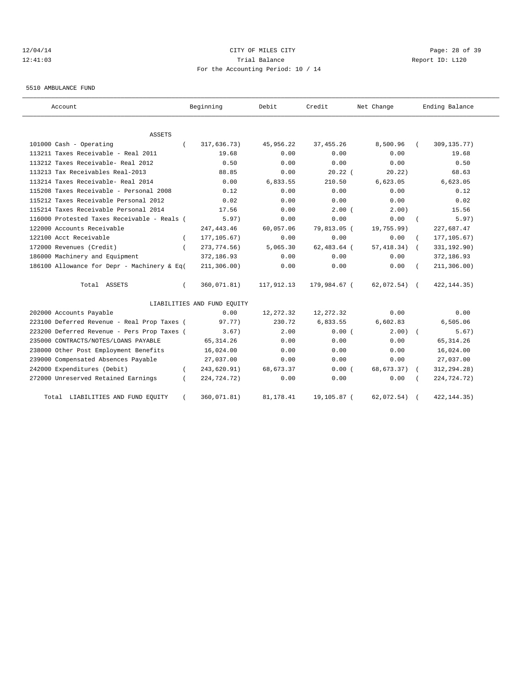# 12/04/14 Page: 28 of 39 12:41:03 Trial Balance Report ID: L120 For the Accounting Period: 10 / 14

5510 AMBULANCE FUND

| Account                                     |          | Beginning                   | Debit      | Credit        | Net Change     |            | Ending Balance |
|---------------------------------------------|----------|-----------------------------|------------|---------------|----------------|------------|----------------|
| <b>ASSETS</b>                               |          |                             |            |               |                |            |                |
| 101000 Cash - Operating                     |          | 317,636.73)                 | 45,956.22  | 37, 455.26    | 8,500.96       |            | 309, 135. 77)  |
| 113211 Taxes Receivable - Real 2011         |          | 19.68                       | 0.00       | 0.00          | 0.00           |            | 19.68          |
| 113212 Taxes Receivable- Real 2012          |          | 0.50                        | 0.00       | 0.00          | 0.00           |            | 0.50           |
| 113213 Tax Receivables Real-2013            |          | 88.85                       | 0.00       | $20.22$ (     | 20.22)         |            | 68.63          |
| 113214 Taxes Receivable- Real 2014          |          | 0.00                        | 6,833.55   | 210.50        | 6,623.05       |            | 6,623.05       |
| 115208 Taxes Receivable - Personal 2008     |          | 0.12                        | 0.00       | 0.00          | 0.00           |            | 0.12           |
| 115212 Taxes Receivable Personal 2012       |          | 0.02                        | 0.00       | 0.00          | 0.00           |            | 0.02           |
| 115214 Taxes Receivable Personal 2014       |          | 17.56                       | 0.00       | $2.00$ (      | 2.00)          |            | 15.56          |
| 116000 Protested Taxes Receivable - Reals ( |          | 5.97)                       | 0.00       | 0.00          | 0.00           |            | 5.97)          |
| 122000 Accounts Receivable                  |          | 247, 443.46                 | 60,057.06  | 79,813.05 (   | 19,755.99)     |            | 227,687.47     |
| 122100 Acct Receivable                      | $\left($ | 177, 105.67)                | 0.00       | 0.00          | 0.00           |            | 177, 105.67)   |
| 172000 Revenues (Credit)                    |          | 273, 774.56)                | 5,065.30   | $62,483.64$ ( | 57, 418.34)    | $\sqrt{2}$ | 331,192.90)    |
| 186000 Machinery and Equipment              |          | 372,186.93                  | 0.00       | 0.00          | 0.00           |            | 372,186.93     |
| 186100 Allowance for Depr - Machinery & Eq( |          | 211, 306.00)                | 0.00       | 0.00          | 0.00           |            | 211, 306.00)   |
| Total ASSETS                                |          | 360,071.81)                 | 117,912.13 | 179,984.67 (  | $62,072.54)$ ( |            | 422, 144.35)   |
|                                             |          | LIABILITIES AND FUND EQUITY |            |               |                |            |                |
| 202000 Accounts Payable                     |          | 0.00                        | 12,272.32  | 12, 272.32    | 0.00           |            | 0.00           |
| 223100 Deferred Revenue - Real Prop Taxes ( |          | 97.77)                      | 230.72     | 6,833.55      | 6,602.83       |            | 6,505.06       |
| 223200 Deferred Revenue - Pers Prop Taxes ( |          | 3.67)                       | 2.00       | 0.00(         | $2.00$ $($     |            | 5.67)          |
| 235000 CONTRACTS/NOTES/LOANS PAYABLE        |          | 65, 314.26                  | 0.00       | 0.00          | 0.00           |            | 65, 314.26     |
| 238000 Other Post Employment Benefits       |          | 16,024.00                   | 0.00       | 0.00          | 0.00           |            | 16,024.00      |
| 239000 Compensated Absences Payable         |          | 27,037.00                   | 0.00       | 0.00          | 0.00           |            | 27,037.00      |
| 242000 Expenditures (Debit)                 |          | 243,620.91)                 | 68,673.37  | 0.00(         | 68,673.37)     |            | 312, 294. 28)  |
| 272000 Unreserved Retained Earnings         |          | 224,724.72)                 | 0.00       | 0.00          | 0.00           |            | 224,724.72)    |
| Total LIABILITIES AND FUND EQUITY           |          | 360,071.81)                 | 81, 178.41 | 19,105.87 (   | 62,072.54)     |            | 422, 144. 35)  |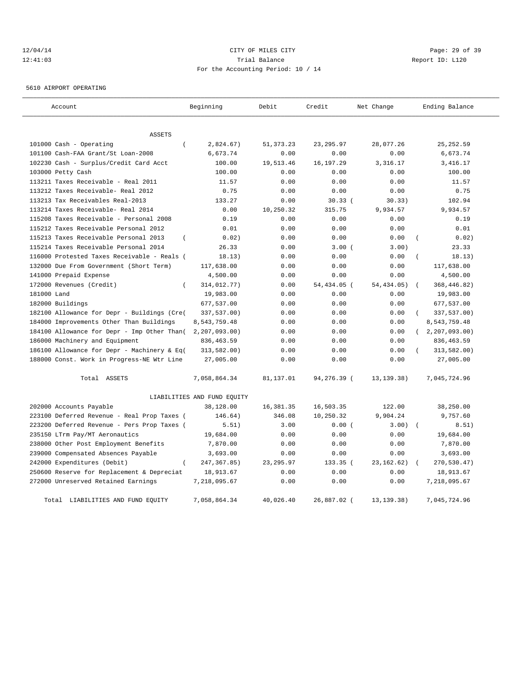# 12/04/14 Page: 29 of 39 12:41:03 Trial Balance Report ID: L120 For the Accounting Period: 10 / 14

5610 AIRPORT OPERATING

| Account                                           | Beginning                   | Debit       | Credit      | Net Change   | Ending Balance      |
|---------------------------------------------------|-----------------------------|-------------|-------------|--------------|---------------------|
| <b>ASSETS</b>                                     |                             |             |             |              |                     |
| 101000 Cash - Operating<br>$\left($               | 2,824.67)                   | 51, 373. 23 | 23, 295.97  | 28,077.26    | 25, 252.59          |
| 101100 Cash-FAA Grant/St Loan-2008                | 6,673.74                    | 0.00        | 0.00        | 0.00         | 6,673.74            |
| 102230 Cash - Surplus/Credit Card Acct            | 100.00                      | 19,513.46   | 16, 197. 29 | 3, 316, 17   | 3,416.17            |
| 103000 Petty Cash                                 | 100.00                      | 0.00        | 0.00        | 0.00         | 100.00              |
| 113211 Taxes Receivable - Real 2011               | 11.57                       | 0.00        | 0.00        | 0.00         | 11.57               |
| 113212 Taxes Receivable- Real 2012                | 0.75                        | 0.00        | 0.00        | 0.00         | 0.75                |
| 113213 Tax Receivables Real-2013                  | 133.27                      | 0.00        | 30.33(      | 30.33)       | 102.94              |
| 113214 Taxes Receivable- Real 2014                | 0.00                        | 10,250.32   | 315.75      | 9,934.57     | 9,934.57            |
| 115208 Taxes Receivable - Personal 2008           | 0.19                        | 0.00        | 0.00        | 0.00         | 0.19                |
| 115212 Taxes Receivable Personal 2012             | 0.01                        | 0.00        | 0.00        | 0.00         | 0.01                |
| 115213 Taxes Receivable Personal 2013<br>$\left($ | 0.02)                       | 0.00        | 0.00        | 0.00         | 0.02)               |
| 115214 Taxes Receivable Personal 2014             | 26.33                       | 0.00        | 3.00(       | 3.00)        | 23.33               |
| 116000 Protested Taxes Receivable - Reals (       | 18.13)                      | 0.00        | 0.00        | 0.00         | 18.13)              |
| 132000 Due From Government (Short Term)           | 117,638.00                  | 0.00        | 0.00        | 0.00         | 117,638.00          |
| 141000 Prepaid Expense                            | 4,500.00                    | 0.00        | 0.00        | 0.00         | 4,500.00            |
| 172000 Revenues (Credit)<br>$\left($              | 314,012.77)                 | 0.00        | 54,434.05 ( | 54, 434, 05) | 368,446.82)         |
| 181000 Land                                       | 19,983.00                   | 0.00        | 0.00        | 0.00         | 19,983.00           |
| 182000 Buildings                                  | 677,537.00                  | 0.00        | 0.00        | 0.00         | 677,537.00          |
| 182100 Allowance for Depr - Buildings (Cre(       | 337,537.00)                 | 0.00        | 0.00        | 0.00         | 337,537.00)         |
| 184000 Improvements Other Than Buildings          | 8,543,759.48                | 0.00        | 0.00        | 0.00         | 8,543,759.48        |
| 184100 Allowance for Depr - Imp Other Than(       | 2, 207, 093.00              | 0.00        | 0.00        | 0.00         | (2, 207, 093.00)    |
| 186000 Machinery and Equipment                    | 836, 463.59                 | 0.00        | 0.00        | 0.00         | 836, 463.59         |
| 186100 Allowance for Depr - Machinery & Eq(       | 313,582.00)                 | 0.00        | 0.00        | 0.00         | 313,582.00)         |
| 188000 Const. Work in Progress-NE Wtr Line        | 27,005.00                   | 0.00        | 0.00        | 0.00         | 27,005.00           |
| Total ASSETS                                      | 7,058,864.34                | 81,137.01   | 94,276.39 ( | 13, 139. 38) | 7,045,724.96        |
|                                                   | LIABILITIES AND FUND EQUITY |             |             |              |                     |
| 202000 Accounts Payable                           | 38,128.00                   | 16,381.35   | 16,503.35   | 122.00       | 38,250.00           |
| 223100 Deferred Revenue - Real Prop Taxes (       | 146.64)                     | 346.08      | 10,250.32   | 9,904.24     | 9,757.60            |
| 223200 Deferred Revenue - Pers Prop Taxes (       | 5.51)                       | 3.00        | 0.00(       | 3.00)        | 8.51)<br>$\sqrt{ }$ |
| 235150 LTrm Pay/MT Aeronautics                    | 19,684.00                   | 0.00        | 0.00        | 0.00         | 19,684.00           |
| 238000 Other Post Employment Benefits             | 7,870.00                    | 0.00        | 0.00        | 0.00         | 7,870.00            |
| 239000 Compensated Absences Payable               | 3,693.00                    | 0.00        | 0.00        | 0.00         | 3,693.00            |
| 242000 Expenditures (Debit)<br>$\left($           | 247, 367.85)                | 23, 295.97  | 133.35 (    | 23, 162.62)  | 270,530.47)         |
| 250600 Reserve for Replacement & Depreciat        | 18,913.67                   | 0.00        | 0.00        | 0.00         | 18,913.67           |
| 272000 Unreserved Retained Earnings               | 7,218,095.67                | 0.00        | 0.00        | 0.00         | 7,218,095.67        |
| Total LIABILITIES AND FUND EQUITY                 | 7,058,864.34                | 40,026.40   | 26,887.02 ( | 13, 139. 38) | 7,045,724.96        |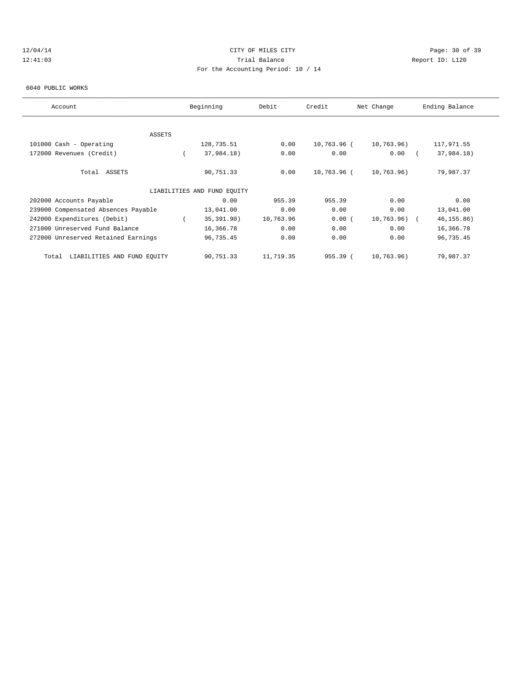# 12/04/14 Page: 30 of 39 12:41:03 Trial Balance Report ID: L120 For the Accounting Period: 10 / 14

#### 6040 PUBLIC WORKS

| Account                              | Beginning                   | Debit     | Credit      | Net Change    | Ending Balance |
|--------------------------------------|-----------------------------|-----------|-------------|---------------|----------------|
|                                      |                             |           |             |               |                |
| <b>ASSETS</b>                        |                             |           |             |               |                |
| 101000 Cash - Operating              | 128,735.51                  | 0.00      | 10,763.96 ( | 10,763.96)    | 117,971.55     |
| 172000 Revenues (Credit)             | 37,984.18)                  | 0.00      | 0.00        | 0.00          | 37,984.18)     |
| Total ASSETS                         | 90,751.33                   | 0.00      | 10,763.96 ( | 10,763.96)    | 79,987.37      |
|                                      | LIABILITIES AND FUND EQUITY |           |             |               |                |
| 202000 Accounts Payable              | 0.00                        | 955.39    | 955.39      | 0.00          | 0.00           |
| 239000 Compensated Absences Payable  | 13,041.00                   | 0.00      | 0.00        | 0.00          | 13,041.00      |
| 242000 Expenditures (Debit)          | 35, 391.90)                 | 10,763.96 | 0.00(       | $10,763.96$ ( | 46, 155.86)    |
| 271000 Unreserved Fund Balance       | 16,366.78                   | 0.00      | 0.00        | 0.00          | 16,366.78      |
| 272000 Unreserved Retained Earnings  | 96,735.45                   | 0.00      | 0.00        | 0.00          | 96,735.45      |
| LIABILITIES AND FUND EQUITY<br>Total | 90,751.33                   | 11,719.35 | 955.39(     | 10,763.96)    | 79,987.37      |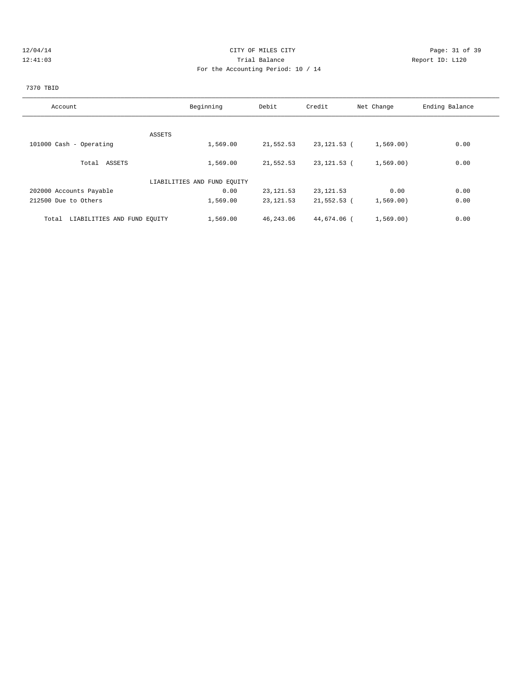# 12/04/14 Page: 31 of 39 12:41:03 Trial Balance Report ID: L120 For the Accounting Period: 10 / 14

# 7370 TBID

| Account                              | Beginning                   | Debit      | Credit      | Net Change | Ending Balance |
|--------------------------------------|-----------------------------|------------|-------------|------------|----------------|
|                                      |                             |            |             |            |                |
| ASSETS                               |                             |            |             |            |                |
| 101000 Cash - Operating              | 1,569.00                    | 21,552.53  | 23,121.53 ( | 1,569.00)  | 0.00           |
| Total ASSETS                         | 1,569.00                    | 21,552.53  | 23,121.53 ( | 1,569.00)  | 0.00           |
|                                      | LIABILITIES AND FUND EQUITY |            |             |            |                |
| 202000 Accounts Payable              | 0.00                        | 23, 121.53 | 23, 121.53  | 0.00       | 0.00           |
| 212500 Due to Others                 | 1,569.00                    | 23, 121.53 | 21,552.53 ( | 1,569.00   | 0.00           |
| LIABILITIES AND FUND EQUITY<br>Total | 1,569.00                    | 46,243.06  | 44,674.06 ( | 1,569.00)  | 0.00           |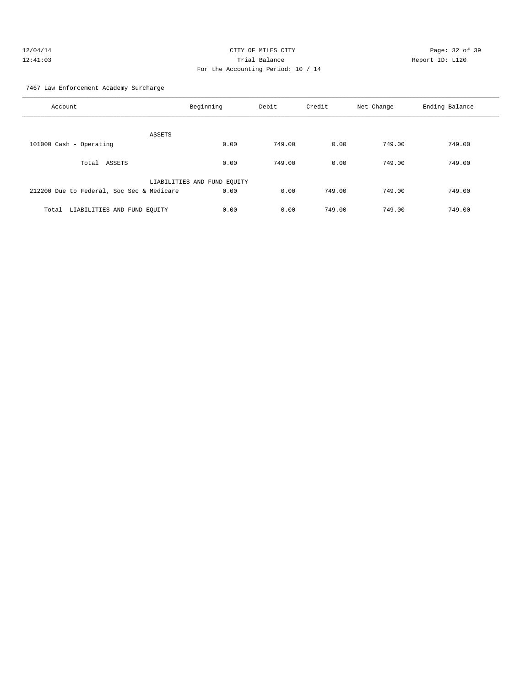7467 Law Enforcement Academy Surcharge

| Account                                   | Beginning                   | Debit  | Credit | Net Change | Ending Balance |
|-------------------------------------------|-----------------------------|--------|--------|------------|----------------|
| ASSETS                                    |                             |        |        |            |                |
| 101000 Cash - Operating                   | 0.00                        | 749.00 | 0.00   | 749.00     | 749.00         |
| ASSETS<br>Total                           | 0.00                        | 749.00 | 0.00   | 749.00     | 749.00         |
|                                           | LIABILITIES AND FUND EQUITY |        |        |            |                |
| 212200 Due to Federal, Soc Sec & Medicare | 0.00                        | 0.00   | 749.00 | 749.00     | 749.00         |
| LIABILITIES AND FUND EQUITY<br>Total      | 0.00                        | 0.00   | 749.00 | 749.00     | 749.00         |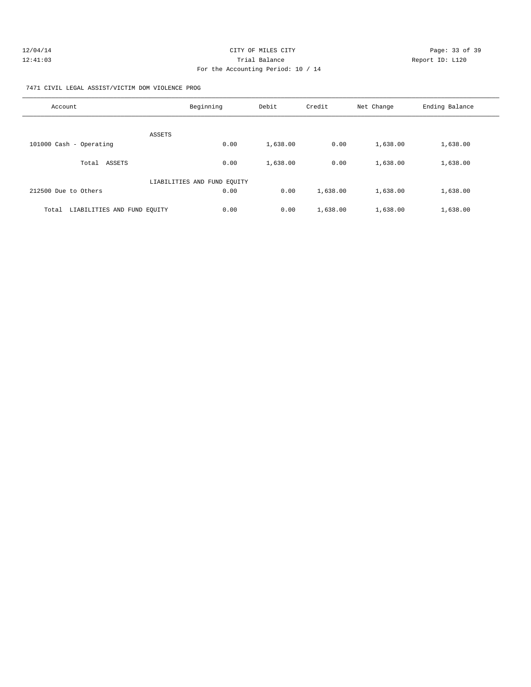| 12/04/14 | CITY OF MILES CITY                 |                 | Page: 33 of 39 |
|----------|------------------------------------|-----------------|----------------|
| 12:41:03 | Trial Balance                      | Report ID: L120 |                |
|          | For the Accounting Period: 10 / 14 |                 |                |

7471 CIVIL LEGAL ASSIST/VICTIM DOM VIOLENCE PROG

| Account                              | Beginning                   | Debit    | Credit   | Net Change | Ending Balance |
|--------------------------------------|-----------------------------|----------|----------|------------|----------------|
| ASSETS                               |                             |          |          |            |                |
| 101000 Cash - Operating              | 0.00                        | 1,638.00 | 0.00     | 1,638.00   | 1,638.00       |
| ASSETS<br>Total                      | 0.00                        | 1,638.00 | 0.00     | 1,638.00   | 1,638.00       |
|                                      | LIABILITIES AND FUND EQUITY |          |          |            |                |
| 212500 Due to Others                 | 0.00                        | 0.00     | 1,638.00 | 1,638.00   | 1,638.00       |
| LIABILITIES AND FUND EQUITY<br>Total | 0.00                        | 0.00     | 1,638.00 | 1,638.00   | 1,638.00       |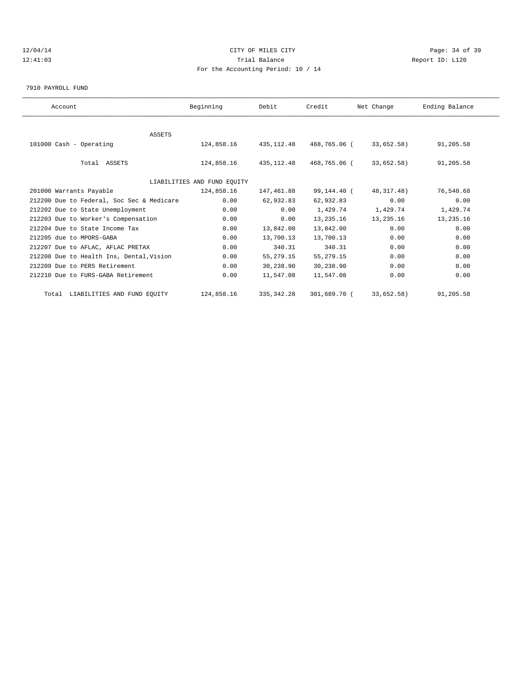# 12/04/14 Page: 34 of 39 12:41:03 Trial Balance Report ID: L120 For the Accounting Period: 10 / 14

7910 PAYROLL FUND

| Account                                   | Beginning                   | Debit       | Credit       | Net Change   | Ending Balance |  |
|-------------------------------------------|-----------------------------|-------------|--------------|--------------|----------------|--|
|                                           |                             |             |              |              |                |  |
| <b>ASSETS</b>                             |                             |             |              |              |                |  |
| 101000 Cash - Operating                   | 124,858.16                  | 435,112.48  | 468,765.06 ( | 33,652.58)   | 91,205.58      |  |
|                                           |                             |             |              |              |                |  |
| Total ASSETS                              | 124,858.16                  | 435, 112.48 | 468,765.06 ( | 33,652.58)   | 91,205.58      |  |
|                                           |                             |             |              |              |                |  |
|                                           | LIABILITIES AND FUND EQUITY |             |              |              |                |  |
| 201000 Warrants Payable                   | 124,858.16                  | 147,461.88  | 99,144.40 (  | 48, 317. 48) | 76,540.68      |  |
| 212200 Due to Federal, Soc Sec & Medicare | 0.00                        | 62,932.83   | 62,932.83    | 0.00         | 0.00           |  |
| 212202 Due to State Unemployment          | 0.00                        | 0.00        | 1,429.74     | 1,429.74     | 1,429.74       |  |
| 212203 Due to Worker's Compensation       | 0.00                        | 0.00        | 13,235.16    | 13,235.16    | 13,235.16      |  |
| 212204 Due to State Income Tax            | 0.00                        | 13,842.00   | 13,842.00    | 0.00         | 0.00           |  |
| 212205 due to MPORS-GABA                  | 0.00                        | 13,700.13   | 13,700.13    | 0.00         | 0.00           |  |
| 212207 Due to AFLAC, AFLAC PRETAX         | 0.00                        | 340.31      | 340.31       | 0.00         | 0.00           |  |
| 212208 Due to Health Ins, Dental, Vision  | 0.00                        | 55, 279. 15 | 55, 279. 15  | 0.00         | 0.00           |  |
| 212209 Due to PERS Retirement             | 0.00                        | 30,238.90   | 30,238.90    | 0.00         | 0.00           |  |
| 212210 Due to FURS-GABA Retirement        | 0.00                        | 11,547.08   | 11,547.08    | 0.00         | 0.00           |  |
| Total LIABILITIES AND FUND EQUITY         | 124,858.16                  | 335, 342.28 | 301,689.70 ( | 33,652.58)   | 91,205.58      |  |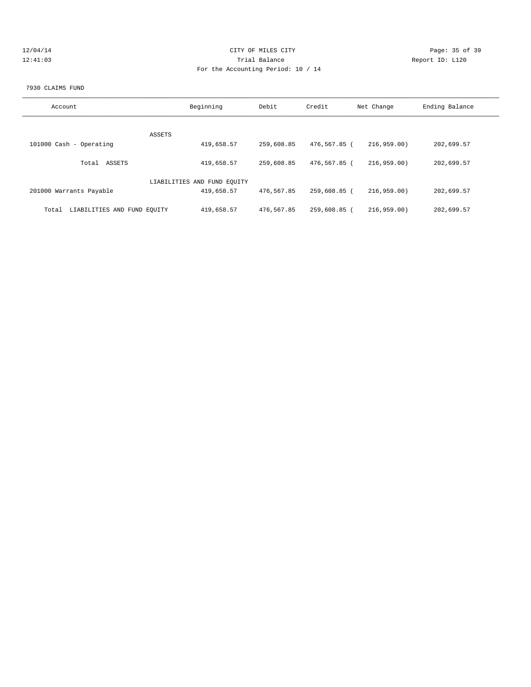| 12/04/14 |  |  |  |  |
|----------|--|--|--|--|
| 12:41:03 |  |  |  |  |

# CITY OF MILES CITY CONTROL CONTROL CONTROL CONTROL CONTROL PAGE: 35 of 39 120 Trial Balance and Communications of the Report ID: L120 For the Accounting Period: 10 / 14

### 7930 CLAIMS FUND

| Account                              | Beginning                   | Debit      | Credit       | Net Change | Ending Balance |
|--------------------------------------|-----------------------------|------------|--------------|------------|----------------|
| ASSETS                               |                             |            |              |            |                |
| 101000 Cash - Operating              | 419,658.57                  | 259,608.85 | 476,567.85 ( | 216.959.00 | 202,699.57     |
| ASSETS<br>Total                      | 419,658.57                  | 259,608.85 | 476,567.85 ( | 216.959.00 | 202,699.57     |
|                                      | LIABILITIES AND FUND EQUITY |            |              |            |                |
| 201000 Warrants Payable              | 419,658.57                  | 476,567.85 | 259,608.85 ( | 216.959.00 | 202,699.57     |
| LIABILITIES AND FUND EQUITY<br>Total | 419,658.57                  | 476,567.85 | 259,608.85 ( | 216.959.00 | 202,699.57     |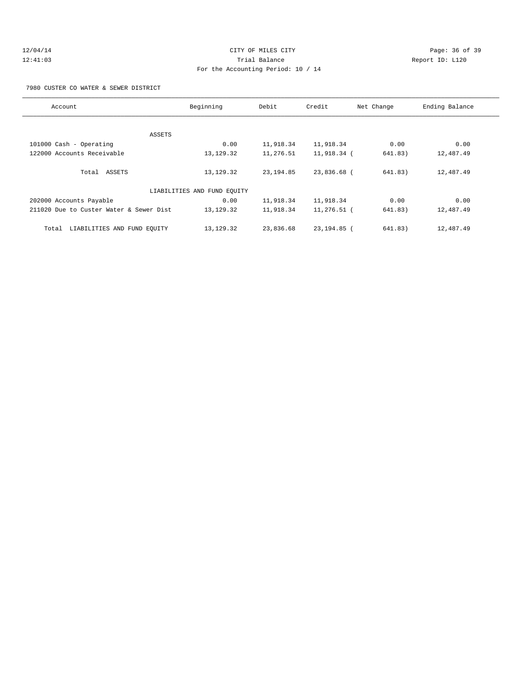# 12/04/14 Page: 36 of 39 12:41:03 Trial Balance Report ID: L120 For the Accounting Period: 10 / 14

7980 CUSTER CO WATER & SEWER DISTRICT

| Account                                 | Beginning                   | Debit      | Credit        | Net Change | Ending Balance |
|-----------------------------------------|-----------------------------|------------|---------------|------------|----------------|
|                                         |                             |            |               |            |                |
| ASSETS                                  |                             |            |               |            |                |
| 101000 Cash - Operating                 | 0.00                        | 11,918.34  | 11,918.34     | 0.00       | 0.00           |
| 122000 Accounts Receivable              | 13, 129. 32                 | 11,276.51  | 11,918.34 (   | 641.83)    | 12,487.49      |
| Total ASSETS                            | 13, 129. 32                 | 23, 194.85 | 23,836.68 (   | 641.83)    | 12,487.49      |
|                                         | LIABILITIES AND FUND EQUITY |            |               |            |                |
| 202000 Accounts Payable                 | 0.00                        | 11,918.34  | 11,918.34     | 0.00       | 0.00           |
| 211020 Due to Custer Water & Sewer Dist | 13, 129. 32                 | 11,918.34  | $11,276.51$ ( | 641.83)    | 12,487.49      |
| LIABILITIES AND FUND EOUITY<br>Total    | 13, 129. 32                 | 23,836.68  | 23, 194.85 (  | 641.83)    | 12,487.49      |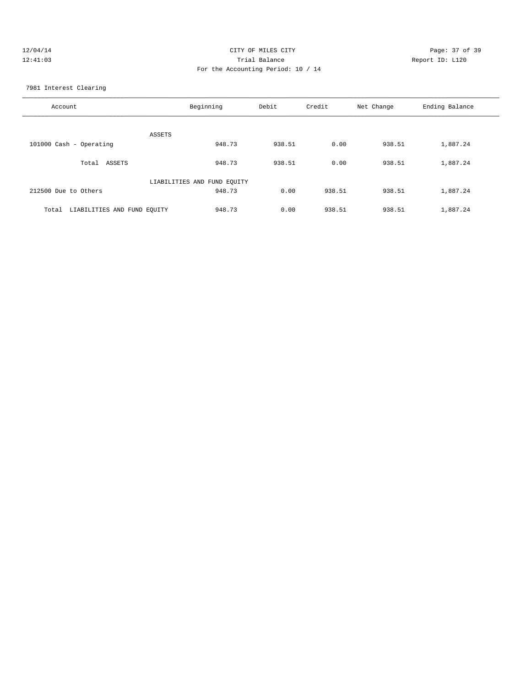| 12/04/14 | CITY OF MILES CITY                 | Page: 37 of 39  |
|----------|------------------------------------|-----------------|
| 12:41:03 | Trial Balance                      | Report ID: L120 |
|          | For the Accounting Period: 10 / 14 |                 |
|          |                                    |                 |

7981 Interest Clearing

| Account                              | Beginning                   | Debit  | Credit | Net Change | Ending Balance |
|--------------------------------------|-----------------------------|--------|--------|------------|----------------|
| ASSETS                               |                             |        |        |            |                |
| 101000 Cash - Operating              | 948.73                      | 938.51 | 0.00   | 938.51     | 1,887.24       |
| Total ASSETS                         | 948.73                      | 938.51 | 0.00   | 938.51     | 1,887.24       |
|                                      | LIABILITIES AND FUND EQUITY |        |        |            |                |
| 212500 Due to Others                 | 948.73                      | 0.00   | 938.51 | 938.51     | 1,887.24       |
| LIABILITIES AND FUND EQUITY<br>Total | 948.73                      | 0.00   | 938.51 | 938.51     | 1,887.24       |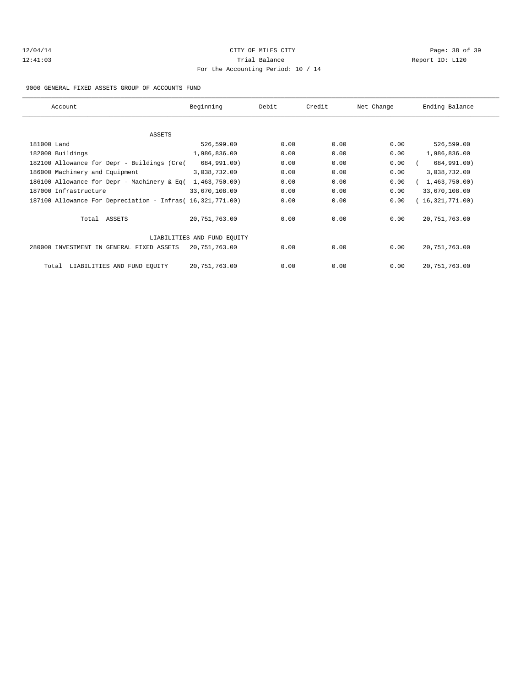# 12/04/14 Page: 38 of 39 12:41:03 Trial Balance Report ID: L120 For the Accounting Period: 10 / 14

### 9000 GENERAL FIXED ASSETS GROUP OF ACCOUNTS FUND

| Account                                                    | Beginning                   | Debit | Credit | Net Change | Ending Balance  |
|------------------------------------------------------------|-----------------------------|-------|--------|------------|-----------------|
|                                                            |                             |       |        |            |                 |
| ASSETS                                                     |                             |       |        |            |                 |
| 181000 Land                                                | 526,599.00                  | 0.00  | 0.00   | 0.00       | 526,599.00      |
| 182000 Buildings                                           | 1,986,836.00                | 0.00  | 0.00   | 0.00       | 1,986,836.00    |
| 182100 Allowance for Depr - Buildings (Cre(                | 684,991.00)                 | 0.00  | 0.00   | 0.00       | 684,991.00)     |
| 186000 Machinery and Equipment                             | 3,038,732.00                | 0.00  | 0.00   | 0.00       | 3,038,732.00    |
| 186100 Allowance for Depr - Machinery & Eq(                | 1,463,750.00)               | 0.00  | 0.00   | 0.00       | 1,463,750.00)   |
| 187000 Infrastructure                                      | 33,670,108.00               | 0.00  | 0.00   | 0.00       | 33,670,108.00   |
| 187100 Allowance For Depreciation - Infras( 16,321,771.00) |                             | 0.00  | 0.00   | 0.00       | (16,321,771.00) |
| Total ASSETS                                               | 20,751,763.00               | 0.00  | 0.00   | 0.00       | 20, 751, 763.00 |
|                                                            | LIABILITIES AND FUND EQUITY |       |        |            |                 |
| 280000 INVESTMENT IN GENERAL FIXED ASSETS                  | 20,751,763.00               | 0.00  | 0.00   | 0.00       | 20, 751, 763.00 |
| LIABILITIES AND FUND EQUITY<br>Total                       | 20,751,763.00               | 0.00  | 0.00   | 0.00       | 20, 751, 763.00 |